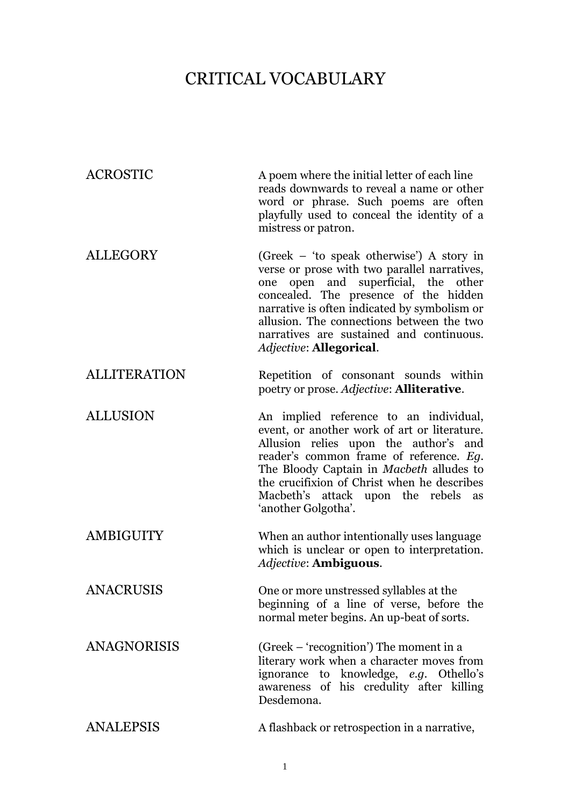## CRITICAL VOCABULARY

| <b>ACROSTIC</b>     | A poem where the initial letter of each line<br>reads downwards to reveal a name or other<br>word or phrase. Such poems are often<br>playfully used to conceal the identity of a<br>mistress or patron.                                                                                                                                                        |
|---------------------|----------------------------------------------------------------------------------------------------------------------------------------------------------------------------------------------------------------------------------------------------------------------------------------------------------------------------------------------------------------|
| ALLEGORY            | (Greek – 'to speak otherwise') A story in<br>verse or prose with two parallel narratives,<br>open and superficial, the other<br>one<br>concealed. The presence of the hidden<br>narrative is often indicated by symbolism or<br>allusion. The connections between the two<br>narratives are sustained and continuous.<br><i><b>Adjective: Allegorical.</b></i> |
| <b>ALLITERATION</b> | Repetition of consonant sounds within<br>poetry or prose. Adjective: <b>Alliterative</b> .                                                                                                                                                                                                                                                                     |
| <b>ALLUSION</b>     | An implied reference to an individual,<br>event, or another work of art or literature.<br>Allusion relies upon the author's and<br>reader's common frame of reference. Eg.<br>The Bloody Captain in Macbeth alludes to<br>the crucifixion of Christ when he describes<br>Macbeth's attack upon the rebels<br>as<br>'another Golgotha'.                         |
| AMBIGUITY           | When an author intentionally uses language<br>which is unclear or open to interpretation.<br><i><b>Adjective: Ambiguous.</b></i>                                                                                                                                                                                                                               |
| <b>ANACRUSIS</b>    | One or more unstressed syllables at the<br>beginning of a line of verse, before the<br>normal meter begins. An up-beat of sorts.                                                                                                                                                                                                                               |
| <b>ANAGNORISIS</b>  | (Greek – 'recognition') The moment in a<br>literary work when a character moves from<br>ignorance to knowledge, e.g. Othello's<br>awareness of his credulity after killing<br>Desdemona.                                                                                                                                                                       |
| <b>ANALEPSIS</b>    | A flashback or retrospection in a narrative,                                                                                                                                                                                                                                                                                                                   |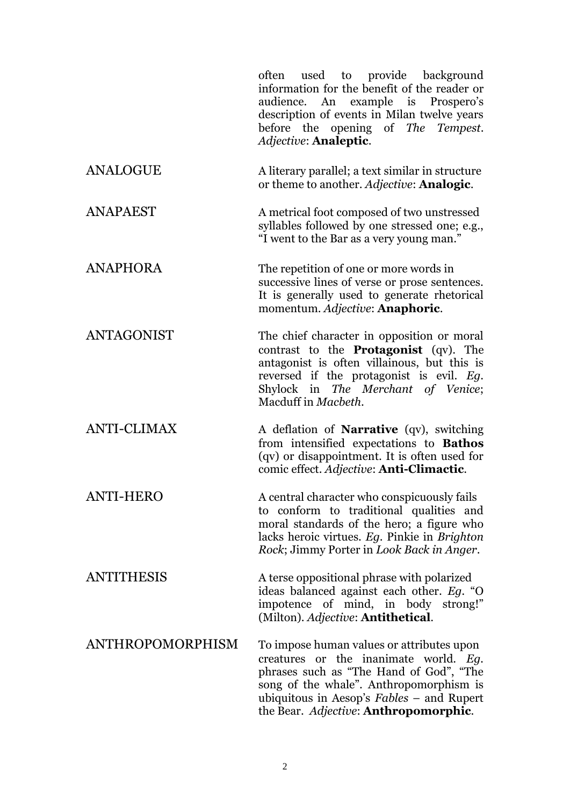often used to provide background information for the benefit of the reader or audience. An example is Prospero's description of events in Milan twelve years before the opening of *The Tempest*. *Adjective*: **Analeptic**.

- ANALOGUE A literary parallel; a text similar in structure or theme to another. *Adjective*: **Analogic**.
- ANAPAEST A metrical foot composed of two unstressed syllables followed by one stressed one; e.g., "I went to the Bar as a very young man."
- ANAPHORA The repetition of one or more words in successive lines of verse or prose sentences. It is generally used to generate rhetorical momentum. *Adjective*: **Anaphoric**.

ANTAGONIST The chief character in opposition or moral contrast to the **Protagonist** (qv). The antagonist is often villainous, but this is reversed if the protagonist is evil. *Eg*. Shylock in *The Merchant of Venice*; Macduff in *Macbeth*.

ANTI-CLIMAX A deflation of **Narrative** (qv), switching from intensified expectations to **Bathos** (qv) or disappointment. It is often used for comic effect. *Adjective*: **Anti-Climactic**.

ANTI-HERO A central character who conspicuously fails to conform to traditional qualities and moral standards of the hero; a figure who lacks heroic virtues. *Eg*. Pinkie in *Brighton Rock*; Jimmy Porter in *Look Back in Anger*.

ANTITHESIS A terse oppositional phrase with polarized ideas balanced against each other. *Eg.* "O impotence of mind, in body strong!" (Milton). *Adjective*: **Antithetical**.

ANTHROPOMORPHISM To impose human values or attributes upon creatures or the inanimate world. *Eg.* phrases such as "The Hand of God", "The song of the whale". Anthropomorphism is ubiquitous in Aesop's *Fables* – and Rupert the Bear. *Adjective*: **Anthropomorphic**.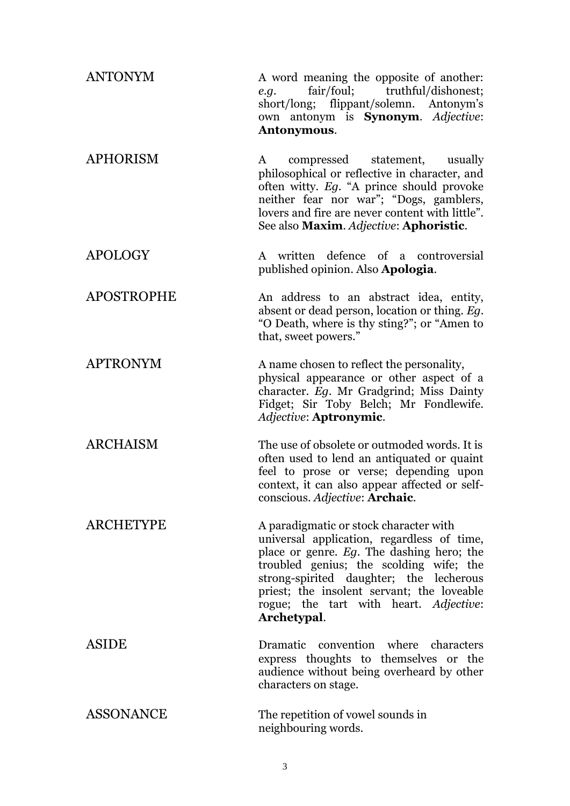| <b>ANTONYM</b>    | A word meaning the opposite of another:<br>fair/foul; truthful/dishonest;<br>e.q.<br>short/long; flippant/solemn. Antonym's<br>own antonym is <b>Synonym</b> . Adjective:<br>Antonymous.                                                                                                                                       |
|-------------------|--------------------------------------------------------------------------------------------------------------------------------------------------------------------------------------------------------------------------------------------------------------------------------------------------------------------------------|
| <b>APHORISM</b>   | compressed statement, usually<br>$\mathbf{A}$<br>philosophical or reflective in character, and<br>often witty. Eg. "A prince should provoke<br>neither fear nor war"; "Dogs, gamblers,<br>lovers and fire are never content with little".<br>See also Maxim. Adjective: Aphoristic.                                            |
| <b>APOLOGY</b>    | A written defence of a controversial<br>published opinion. Also Apologia.                                                                                                                                                                                                                                                      |
| <b>APOSTROPHE</b> | An address to an abstract idea, entity,<br>absent or dead person, location or thing. Eq.<br>"O Death, where is thy sting?"; or "Amen to<br>that, sweet powers."                                                                                                                                                                |
| <b>APTRONYM</b>   | A name chosen to reflect the personality,<br>physical appearance or other aspect of a<br>character. Eg. Mr Gradgrind; Miss Dainty<br>Fidget; Sir Toby Belch; Mr Fondlewife.<br>Adjective: Aptronymic.                                                                                                                          |
| <b>ARCHAISM</b>   | The use of obsolete or outmoded words. It is<br>often used to lend an antiquated or quaint<br>feel to prose or verse; depending upon<br>context, it can also appear affected or self-<br>conscious. Adjective: Archaic.                                                                                                        |
| <b>ARCHETYPE</b>  | A paradigmatic or stock character with<br>universal application, regardless of time,<br>place or genre. Eg. The dashing hero; the<br>troubled genius; the scolding wife; the<br>strong-spirited daughter; the lecherous<br>priest; the insolent servant; the loveable<br>rogue; the tart with heart. Adjective:<br>Archetypal. |
| ASIDE             | Dramatic convention where characters<br>express thoughts to themselves or the<br>audience without being overheard by other<br>characters on stage.                                                                                                                                                                             |
| <b>ASSONANCE</b>  | The repetition of vowel sounds in<br>neighbouring words.                                                                                                                                                                                                                                                                       |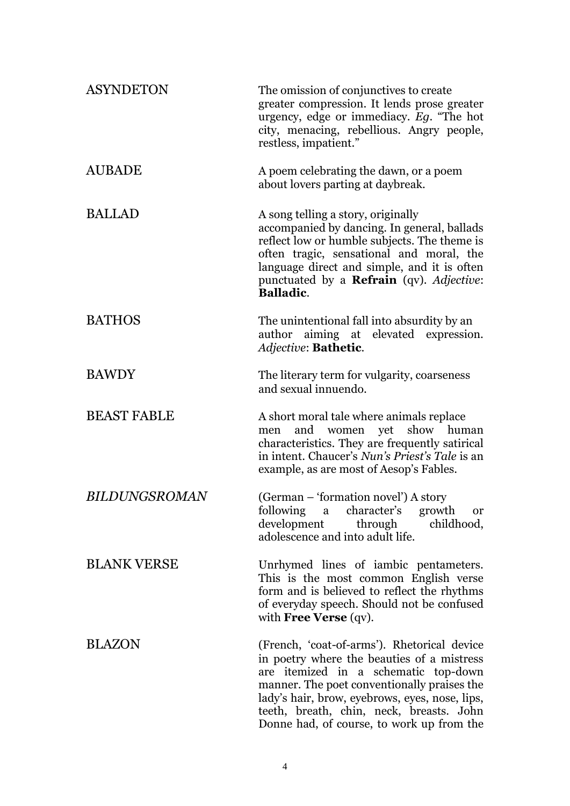| <b>ASYNDETON</b>     | The omission of conjunctives to create<br>greater compression. It lends prose greater<br>urgency, edge or immediacy. Eg. "The hot<br>city, menacing, rebellious. Angry people,<br>restless, impatient."                                                                                                                     |
|----------------------|-----------------------------------------------------------------------------------------------------------------------------------------------------------------------------------------------------------------------------------------------------------------------------------------------------------------------------|
| <b>AUBADE</b>        | A poem celebrating the dawn, or a poem<br>about lovers parting at daybreak.                                                                                                                                                                                                                                                 |
| <b>BALLAD</b>        | A song telling a story, originally<br>accompanied by dancing. In general, ballads<br>reflect low or humble subjects. The theme is<br>often tragic, sensational and moral, the<br>language direct and simple, and it is often<br>punctuated by a <b>Refrain</b> (qv). Adjective:<br><b>Balladic.</b>                         |
| <b>BATHOS</b>        | The unintentional fall into absurdity by an<br>author aiming at elevated expression.<br>Adjective: Bathetic.                                                                                                                                                                                                                |
| <b>BAWDY</b>         | The literary term for vulgarity, coarseness<br>and sexual innuendo.                                                                                                                                                                                                                                                         |
| <b>BEAST FABLE</b>   | A short moral tale where animals replace<br>and women yet show human<br>men<br>characteristics. They are frequently satirical<br>in intent. Chaucer's Nun's Priest's Tale is an<br>example, as are most of Aesop's Fables.                                                                                                  |
| <b>BILDUNGSROMAN</b> | (German – 'formation novel') A story<br>following a character's growth or<br>development<br>childhood,<br>through<br>adolescence and into adult life.                                                                                                                                                                       |
| <b>BLANK VERSE</b>   | Unrhymed lines of iambic pentameters.<br>This is the most common English verse<br>form and is believed to reflect the rhythms<br>of everyday speech. Should not be confused<br>with Free Verse (qv).                                                                                                                        |
| <b>BLAZON</b>        | (French, 'coat-of-arms'). Rhetorical device<br>in poetry where the beauties of a mistress<br>are itemized in a schematic top-down<br>manner. The poet conventionally praises the<br>lady's hair, brow, eyebrows, eyes, nose, lips,<br>teeth, breath, chin, neck, breasts. John<br>Donne had, of course, to work up from the |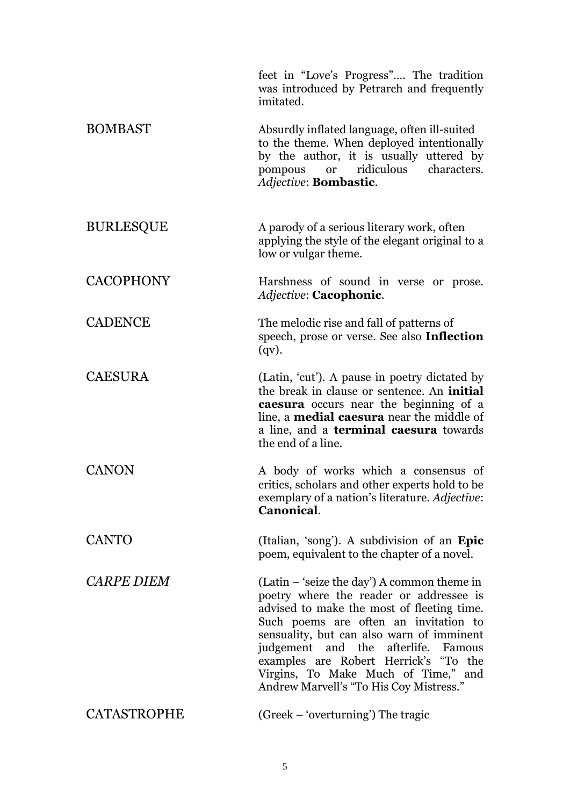|                    | feet in "Love's Progress" The tradition<br>was introduced by Petrarch and frequently<br>imitated.                                                                                                                                                                                                                                                                                              |
|--------------------|------------------------------------------------------------------------------------------------------------------------------------------------------------------------------------------------------------------------------------------------------------------------------------------------------------------------------------------------------------------------------------------------|
| <b>BOMBAST</b>     | Absurdly inflated language, often ill-suited<br>to the theme. When deployed intentionally<br>by the author, it is usually uttered by<br>characters.<br>ridiculous<br>pompous<br><b>or</b><br>Adjective: Bombastic.                                                                                                                                                                             |
| <b>BURLESQUE</b>   | A parody of a serious literary work, often<br>applying the style of the elegant original to a<br>low or vulgar theme.                                                                                                                                                                                                                                                                          |
| <b>CACOPHONY</b>   | Harshness of sound in verse or prose.<br>Adjective: Cacophonic.                                                                                                                                                                                                                                                                                                                                |
| <b>CADENCE</b>     | The melodic rise and fall of patterns of<br>speech, prose or verse. See also Inflection<br>$(qv)$ .                                                                                                                                                                                                                                                                                            |
| <b>CAESURA</b>     | (Latin, 'cut'). A pause in poetry dictated by<br>the break in clause or sentence. An <b>initial</b><br><b>caesura</b> occurs near the beginning of a<br>line, a <b>medial caesura</b> near the middle of<br>a line, and a <b>terminal caesura</b> towards<br>the end of a line.                                                                                                                |
| <b>CANON</b>       | A body of works which a consensus of<br>critics, scholars and other experts hold to be<br>exemplary of a nation's literature. Adjective:<br>Canonical.                                                                                                                                                                                                                                         |
| <b>CANTO</b>       | (Italian, 'song'). A subdivision of an Epic<br>poem, equivalent to the chapter of a novel.                                                                                                                                                                                                                                                                                                     |
| <b>CARPE DIEM</b>  | $(Latin - 'seize the day') A common theme in$<br>poetry where the reader or addressee is<br>advised to make the most of fleeting time.<br>Such poems are often an invitation to<br>sensuality, but can also warn of imminent<br>judgement and the afterlife. Famous<br>examples are Robert Herrick's "To the<br>Virgins, To Make Much of Time," and<br>Andrew Marvell's "To His Coy Mistress." |
| <b>CATASTROPHE</b> | (Greek – 'overturning') The tragic                                                                                                                                                                                                                                                                                                                                                             |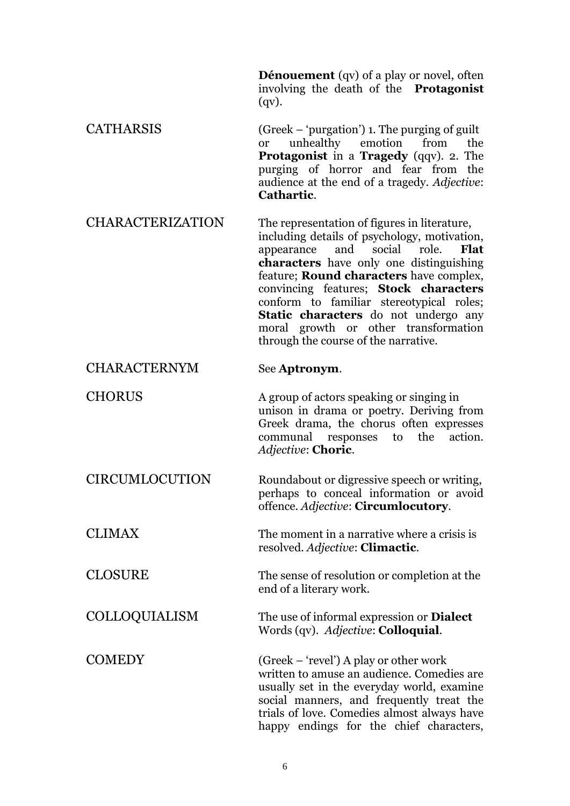**Dénouement** (qv) of a play or novel, often involving the death of the **Protagonist** (qv).

CATHARSIS (Greek – 'purgation') 1. The purging of guilt or unhealthy emotion from the **Protagonist** in a **Tragedy** (qqv). 2. The purging of horror and fear from the audience at the end of a tragedy. *Adjective*: **Cathartic**.

CHARACTERIZATION The representation of figures in literature, including details of psychology, motivation, appearance and social role. **Flat characters** have only one distinguishing feature; **Round characters** have complex, convincing features; **Stock characters** conform to familiar stereotypical roles; **Static characters** do not undergo any moral growth or other transformation through the course of the narrative.

## CHARACTERNYM See **Aptronym**.

CHORUS A group of actors speaking or singing in unison in drama or poetry. Deriving from Greek drama, the chorus often expresses communal responses to the action. *Adjective*: **Choric**.

CIRCUMLOCUTION Roundabout or digressive speech or writing, perhaps to conceal information or avoid offence. *Adjective*: **Circumlocutory**.

CLIMAX The moment in a narrative where a crisis is resolved. *Adjective*: **Climactic**.

CLOSURE The sense of resolution or completion at the end of a literary work.

COLLOQUIALISM The use of informal expression or **Dialect** Words (qv). *Adjective*: **Colloquial**.

COMEDY (Greek – 'revel') A play or other work written to amuse an audience. Comedies are usually set in the everyday world, examine social manners, and frequently treat the trials of love. Comedies almost always have happy endings for the chief characters,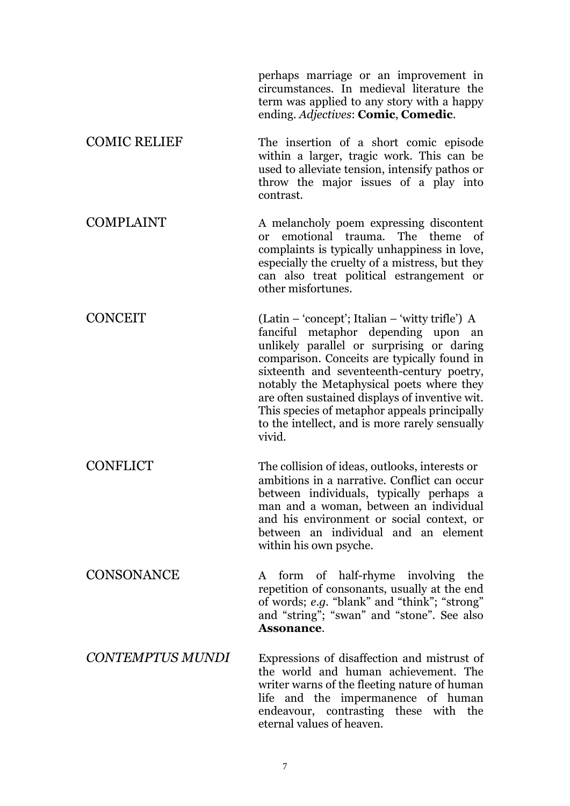perhaps marriage or an improvement in circumstances. In medieval literature the term was applied to any story with a happy ending. *Adjectives*: **Comic**, **Comedic**.

COMIC RELIEF The insertion of a short comic episode within a larger, tragic work. This can be used to alleviate tension, intensify pathos or throw the major issues of a play into contrast.

COMPLAINT A melancholy poem expressing discontent or emotional trauma. The theme of complaints is typically unhappiness in love, especially the cruelty of a mistress, but they can also treat political estrangement or other misfortunes.

CONCEIT (Latin – 'concept'; Italian – 'witty trifle') A fanciful metaphor depending upon an unlikely parallel or surprising or daring comparison. Conceits are typically found in sixteenth and seventeenth-century poetry, notably the Metaphysical poets where they are often sustained displays of inventive wit. This species of metaphor appeals principally to the intellect, and is more rarely sensually vivid.

CONFLICT The collision of ideas, outlooks, interests or ambitions in a narrative. Conflict can occur between individuals, typically perhaps a man and a woman, between an individual and his environment or social context, or between an individual and an element within his own psyche.

CONSONANCE A form of half-rhyme involving the repetition of consonants, usually at the end of words; *e.g.* "blank" and "think"; "strong" and "string"; "swan" and "stone". See also **Assonance**.

*CONTEMPTUS MUNDI* Expressions of disaffection and mistrust of the world and human achievement. The writer warns of the fleeting nature of human life and the impermanence of human endeavour, contrasting these with the eternal values of heaven.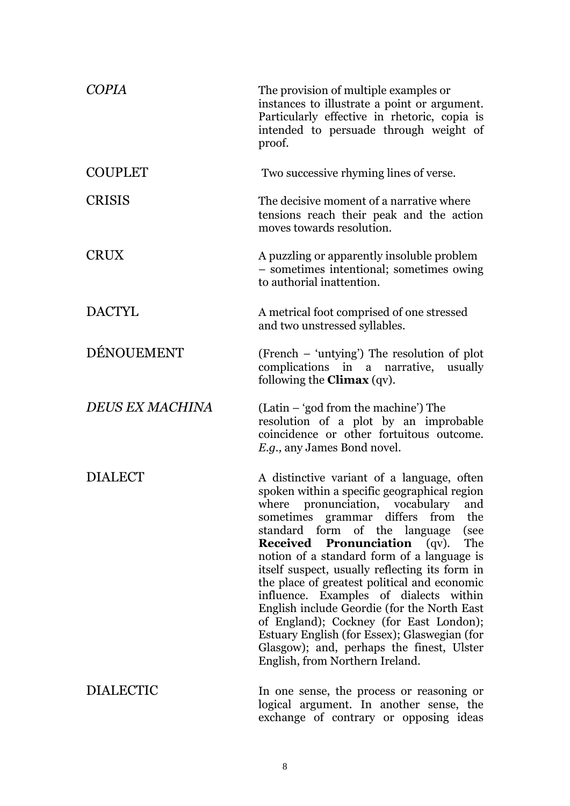| <b>COPIA</b>           | The provision of multiple examples or<br>instances to illustrate a point or argument.<br>Particularly effective in rhetoric, copia is<br>intended to persuade through weight of<br>proof.                                                                                                                                                                                                                                                                                                                                                                                                                                                                                                      |
|------------------------|------------------------------------------------------------------------------------------------------------------------------------------------------------------------------------------------------------------------------------------------------------------------------------------------------------------------------------------------------------------------------------------------------------------------------------------------------------------------------------------------------------------------------------------------------------------------------------------------------------------------------------------------------------------------------------------------|
| <b>COUPLET</b>         | Two successive rhyming lines of verse.                                                                                                                                                                                                                                                                                                                                                                                                                                                                                                                                                                                                                                                         |
| <b>CRISIS</b>          | The decisive moment of a narrative where<br>tensions reach their peak and the action<br>moves towards resolution.                                                                                                                                                                                                                                                                                                                                                                                                                                                                                                                                                                              |
| <b>CRUX</b>            | A puzzling or apparently insoluble problem<br>- sometimes intentional; sometimes owing<br>to authorial inattention.                                                                                                                                                                                                                                                                                                                                                                                                                                                                                                                                                                            |
| <b>DACTYL</b>          | A metrical foot comprised of one stressed<br>and two unstressed syllables.                                                                                                                                                                                                                                                                                                                                                                                                                                                                                                                                                                                                                     |
| DÉNOUEMENT             | (French – 'untying') The resolution of plot<br>complications in a narrative, usually<br>following the <b>Climax</b> (qv).                                                                                                                                                                                                                                                                                                                                                                                                                                                                                                                                                                      |
| <b>DEUS EX MACHINA</b> | (Latin – 'god from the machine') The<br>resolution of a plot by an improbable<br>coincidence or other fortuitous outcome.<br><i>E.g.</i> , any James Bond novel.                                                                                                                                                                                                                                                                                                                                                                                                                                                                                                                               |
| <b>DIALECT</b>         | A distinctive variant of a language, often<br>spoken within a specific geographical region<br>pronunciation, vocabulary<br>where<br>and<br>sometimes grammar differs<br>from<br>the<br>standard form of the language<br>(see<br>The<br><b>Received Pronunciation</b> (qv).<br>notion of a standard form of a language is<br>itself suspect, usually reflecting its form in<br>the place of greatest political and economic<br>influence. Examples of dialects within<br>English include Geordie (for the North East<br>of England); Cockney (for East London);<br>Estuary English (for Essex); Glaswegian (for<br>Glasgow); and, perhaps the finest, Ulster<br>English, from Northern Ireland. |
| <b>DIALECTIC</b>       | In one sense, the process or reasoning or<br>logical argument. In another sense, the<br>exchange of contrary or opposing ideas                                                                                                                                                                                                                                                                                                                                                                                                                                                                                                                                                                 |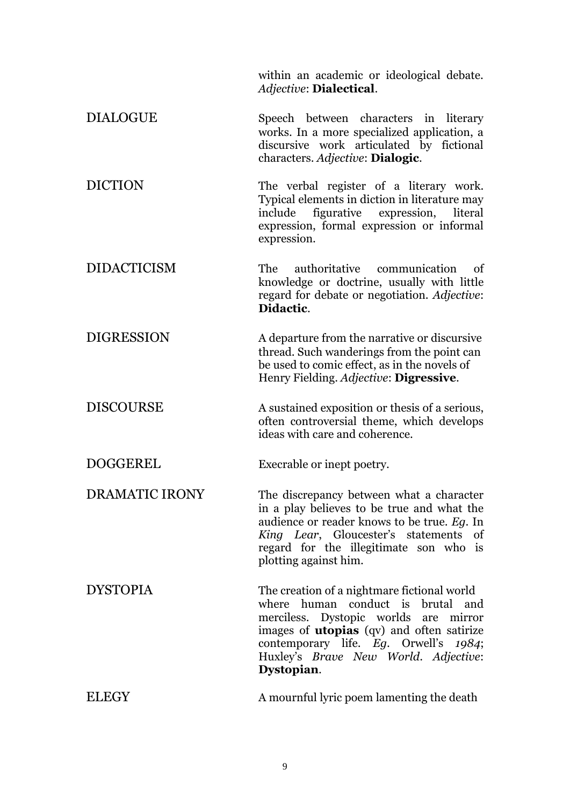within an academic or ideological debate. *Adjective*: **Dialectical**.

- DIALOGUE Speech between characters in literary works. In a more specialized application, a discursive work articulated by fictional characters. *Adjective*: **Dialogic**.
- DICTION The verbal register of a literary work. Typical elements in diction in literature may include figurative expression, literal expression, formal expression or informal expression.
- DIDACTICISM The authoritative communication of knowledge or doctrine, usually with little regard for debate or negotiation. *Adjective*: **Didactic**.

DIGRESSION A departure from the narrative or discursive thread. Such wanderings from the point can be used to comic effect, as in the novels of Henry Fielding. *Adjective*: **Digressive**.

DISCOURSE A sustained exposition or thesis of a serious, often controversial theme, which develops ideas with care and coherence.

DOGGEREL Execrable or inept poetry.

DRAMATIC IRONY The discrepancy between what a character in a play believes to be true and what the audience or reader knows to be true. *Eg*. In *King Lear*, Gloucester's statements of regard for the illegitimate son who is plotting against him.

DYSTOPIA The creation of a nightmare fictional world where human conduct is brutal and merciless. Dystopic worlds are mirror images of **utopias** (qv) and often satirize contemporary life. *Eg*. Orwell's *1984*; Huxley's *Brave New World*. *Adjective*: **Dystopian**.

ELEGY A mournful lyric poem lamenting the death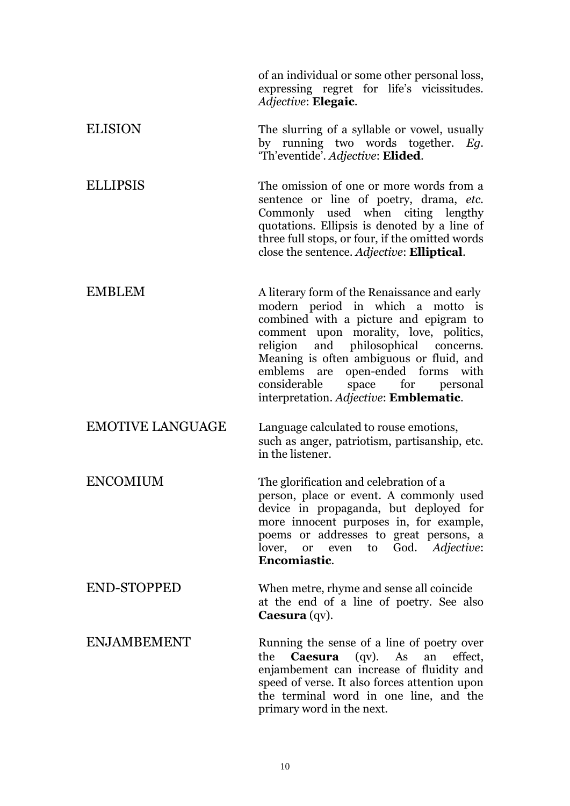of an individual or some other personal loss, expressing regret for life's vicissitudes. *Adjective*: **Elegaic**.

ELISION The slurring of a syllable or vowel, usually by running two words together. *Eg*. 'Th'eventide'. *Adjective*: **Elided**.

ELLIPSIS The omission of one or more words from a sentence or line of poetry, drama, *etc.* Commonly used when citing lengthy quotations. Ellipsis is denoted by a line of three full stops, or four, if the omitted words close the sentence. *Adjective*: **Elliptical**.

- EMBLEM A literary form of the Renaissance and early modern period in which a motto is combined with a picture and epigram to comment upon morality, love, politics, religion and philosophical concerns. Meaning is often ambiguous or fluid, and emblems are open-ended forms with considerable space for personal interpretation. *Adjective*: **Emblematic**.
- EMOTIVE LANGUAGE Language calculated to rouse emotions, such as anger, patriotism, partisanship, etc. in the listener.

ENCOMIUM The glorification and celebration of a person, place or event. A commonly used device in propaganda, but deployed for more innocent purposes in, for example, poems or addresses to great persons, a lover, or even to God. *Adjective*: **Encomiastic**.

END-STOPPED When metre, rhyme and sense all coincide at the end of a line of poetry. See also **Caesura** (qv).

ENJAMBEMENT Running the sense of a line of poetry over the **Caesura** (qv). As an effect, enjambement can increase of fluidity and speed of verse. It also forces attention upon the terminal word in one line, and the primary word in the next.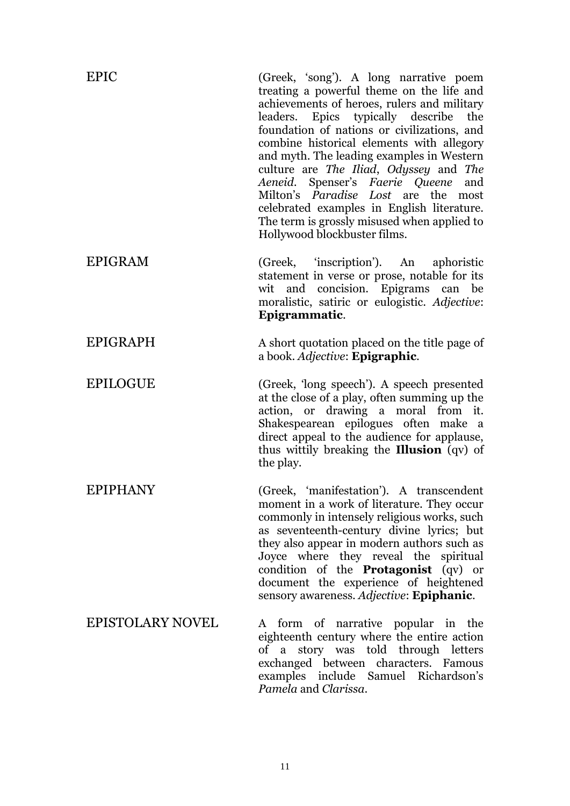| <b>EPIC</b>             | (Greek, 'song'). A long narrative poem<br>treating a powerful theme on the life and<br>achievements of heroes, rulers and military<br>leaders. Epics typically describe<br>the<br>foundation of nations or civilizations, and<br>combine historical elements with allegory<br>and myth. The leading examples in Western<br>culture are The Iliad, Odyssey and The<br>Spenser's Faerie Queene<br>Aeneid.<br>and<br>Milton's <i>Paradise Lost</i> are the most<br>celebrated examples in English literature.<br>The term is grossly misused when applied to<br>Hollywood blockbuster films. |
|-------------------------|-------------------------------------------------------------------------------------------------------------------------------------------------------------------------------------------------------------------------------------------------------------------------------------------------------------------------------------------------------------------------------------------------------------------------------------------------------------------------------------------------------------------------------------------------------------------------------------------|
| <b>EPIGRAM</b>          | (Greek, 'inscription'). An<br>aphoristic<br>statement in verse or prose, notable for its<br>wit and concision. Epigrams can be<br>moralistic, satiric or eulogistic. Adjective:<br>Epigrammatic.                                                                                                                                                                                                                                                                                                                                                                                          |
| <b>EPIGRAPH</b>         | A short quotation placed on the title page of<br>a book. Adjective: Epigraphic.                                                                                                                                                                                                                                                                                                                                                                                                                                                                                                           |
| <b>EPILOGUE</b>         | (Greek, 'long speech'). A speech presented<br>at the close of a play, often summing up the<br>action, or drawing a moral from it.<br>Shakespearean epilogues often make a<br>direct appeal to the audience for applause,<br>thus wittily breaking the <b>Illusion</b> (qv) of<br>the play.                                                                                                                                                                                                                                                                                                |
| <b>EPIPHANY</b>         | (Greek, 'manifestation'). A transcendent<br>moment in a work of literature. They occur<br>commonly in intensely religious works, such<br>as seventeenth-century divine lyrics; but<br>they also appear in modern authors such as<br>Joyce where they reveal the spiritual<br>condition of the <b>Protagonist</b> (qv) or<br>document the experience of heightened<br>sensory awareness. Adjective: Epiphanic.                                                                                                                                                                             |
| <b>EPISTOLARY NOVEL</b> | form of narrative popular in the<br>A<br>eighteenth century where the entire action<br>of a story was told through letters<br>exchanged between characters. Famous<br>examples include Samuel Richardson's<br>Pamela and Clarissa.                                                                                                                                                                                                                                                                                                                                                        |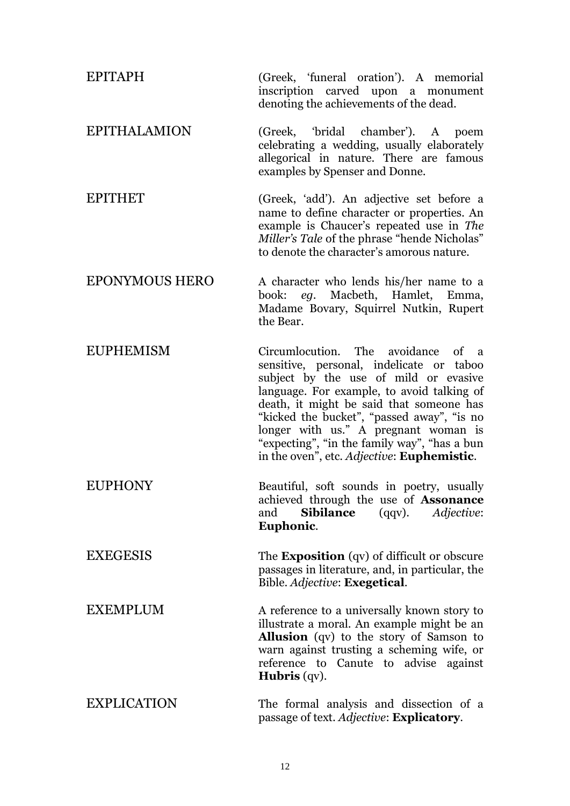| <b>EPITAPH</b>        | (Greek, 'funeral oration'). A memorial<br>inscription carved upon a monument<br>denoting the achievements of the dead.                                                                                                                                                                                                                                                                                |
|-----------------------|-------------------------------------------------------------------------------------------------------------------------------------------------------------------------------------------------------------------------------------------------------------------------------------------------------------------------------------------------------------------------------------------------------|
| <b>EPITHALAMION</b>   | (Greek, 'bridal chamber'). A poem<br>celebrating a wedding, usually elaborately<br>allegorical in nature. There are famous<br>examples by Spenser and Donne.                                                                                                                                                                                                                                          |
| <b>EPITHET</b>        | (Greek, 'add'). An adjective set before a<br>name to define character or properties. An<br>example is Chaucer's repeated use in The<br>Miller's Tale of the phrase "hende Nicholas"<br>to denote the character's amorous nature.                                                                                                                                                                      |
| <b>EPONYMOUS HERO</b> | A character who lends his/her name to a<br>Macbeth, Hamlet,<br>eg.<br>Emma,<br>book:<br>Madame Bovary, Squirrel Nutkin, Rupert<br>the Bear.                                                                                                                                                                                                                                                           |
| <b>EUPHEMISM</b>      | Circumlocution. The avoidance of a<br>sensitive, personal, indelicate or taboo<br>subject by the use of mild or evasive<br>language. For example, to avoid talking of<br>death, it might be said that someone has<br>"kicked the bucket", "passed away", "is no<br>longer with us." A pregnant woman is<br>"expecting", "in the family way", "has a bun<br>in the oven", etc. Adjective: Euphemistic. |
| <b>EUPHONY</b>        | Beautiful, soft sounds in poetry, usually<br>achieved through the use of Assonance<br><b>Sibilance</b><br>Adjective:<br>and<br>$(qqv)$ .<br>Euphonic.                                                                                                                                                                                                                                                 |
| <b>EXEGESIS</b>       | The <b>Exposition</b> (qv) of difficult or obscure<br>passages in literature, and, in particular, the<br>Bible. Adjective: Exegetical.                                                                                                                                                                                                                                                                |
| <b>EXEMPLUM</b>       | A reference to a universally known story to<br>illustrate a moral. An example might be an<br><b>Allusion</b> (qv) to the story of Samson to<br>warn against trusting a scheming wife, or<br>reference to Canute to advise against<br><b>Hubris</b> $(qv)$ .                                                                                                                                           |
| <b>EXPLICATION</b>    | The formal analysis and dissection of a<br>passage of text. Adjective: Explicatory.                                                                                                                                                                                                                                                                                                                   |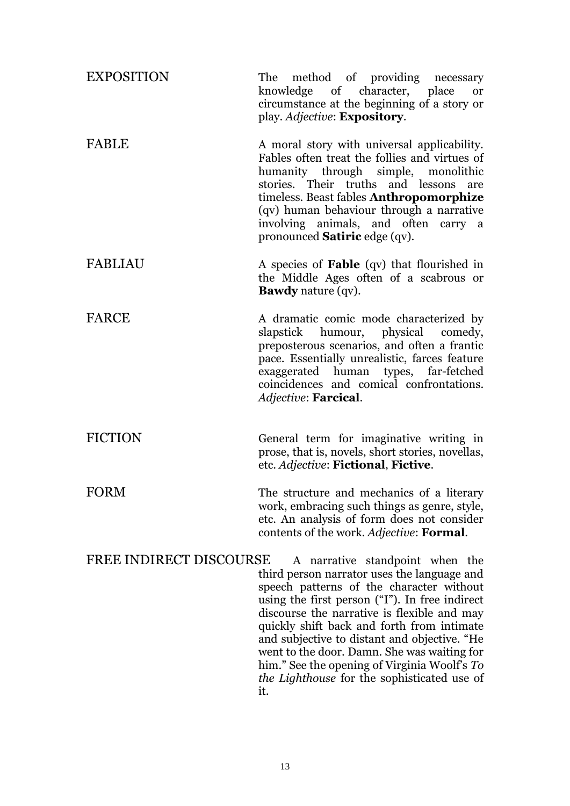| <b>EXPOSITION</b>              | The method of providing necessary<br>knowledge of character, place<br><b>or</b><br>circumstance at the beginning of a story or<br>play. Adjective: <b>Expository</b> .                                                                                                                                                                                                                                                                                                         |
|--------------------------------|--------------------------------------------------------------------------------------------------------------------------------------------------------------------------------------------------------------------------------------------------------------------------------------------------------------------------------------------------------------------------------------------------------------------------------------------------------------------------------|
| <b>FABLE</b>                   | A moral story with universal applicability.<br>Fables often treat the follies and virtues of<br>humanity through simple, monolithic<br>stories. Their truths and lessons<br>are<br>timeless. Beast fables Anthropomorphize<br>(qv) human behaviour through a narrative<br>involving animals, and often carry a<br>pronounced <b>Satiric</b> edge (qv).                                                                                                                         |
| <b>FABLIAU</b>                 | A species of <b>Fable</b> (qv) that flourished in<br>the Middle Ages often of a scabrous or<br><b>Bawdy</b> nature (qv).                                                                                                                                                                                                                                                                                                                                                       |
| <b>FARCE</b>                   | A dramatic comic mode characterized by<br>slapstick humour, physical<br>comedy,<br>preposterous scenarios, and often a frantic<br>pace. Essentially unrealistic, farces feature<br>exaggerated human types, far-fetched<br>coincidences and comical confrontations.<br>Adjective: Farcical.                                                                                                                                                                                    |
| <b>FICTION</b>                 | General term for imaginative writing in<br>prose, that is, novels, short stories, novellas,<br>etc. Adjective: Fictional, Fictive.                                                                                                                                                                                                                                                                                                                                             |
| FORM                           | The structure and mechanics of a literary<br>work, embracing such things as genre, style,<br>etc. An analysis of form does not consider<br>contents of the work. Adjective: Formal.                                                                                                                                                                                                                                                                                            |
| <b>FREE INDIRECT DISCOURSE</b> | A narrative standpoint when the<br>third person narrator uses the language and<br>speech patterns of the character without<br>using the first person ("I"). In free indirect<br>discourse the narrative is flexible and may<br>quickly shift back and forth from intimate<br>and subjective to distant and objective. "He<br>went to the door. Damn. She was waiting for<br>him." See the opening of Virginia Woolf's To<br>the Lighthouse for the sophisticated use of<br>it. |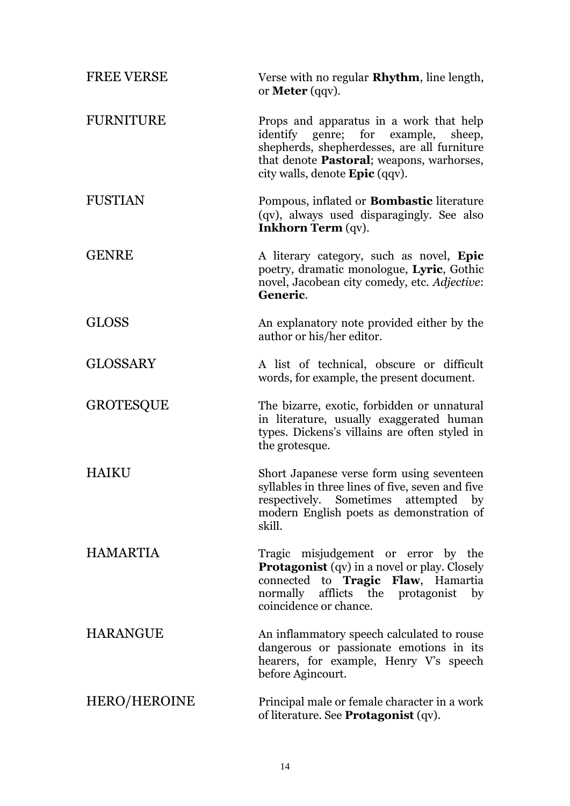| <b>FREE VERSE</b> | Verse with no regular <b>Rhythm</b> , line length,<br>or <b>Meter</b> (qqv).                                                                                                                                           |
|-------------------|------------------------------------------------------------------------------------------------------------------------------------------------------------------------------------------------------------------------|
| <b>FURNITURE</b>  | Props and apparatus in a work that help<br>identify genre; for example,<br>sheep,<br>shepherds, shepherdesses, are all furniture<br>that denote Pastoral; weapons, warhorses,<br>city walls, denote <b>Epic</b> (qqv). |
| <b>FUSTIAN</b>    | Pompous, inflated or <b>Bombastic</b> literature<br>(qv), always used disparagingly. See also<br><b>Inkhorn Term (qv).</b>                                                                                             |
| <b>GENRE</b>      | A literary category, such as novel, <b>Epic</b><br>poetry, dramatic monologue, Lyric, Gothic<br>novel, Jacobean city comedy, etc. Adjective:<br>Generic.                                                               |
| <b>GLOSS</b>      | An explanatory note provided either by the<br>author or his/her editor.                                                                                                                                                |
| <b>GLOSSARY</b>   | A list of technical, obscure or difficult<br>words, for example, the present document.                                                                                                                                 |
| <b>GROTESQUE</b>  | The bizarre, exotic, forbidden or unnatural<br>in literature, usually exaggerated human<br>types. Dickens's villains are often styled in<br>the grotesque.                                                             |
| HAIKU             | Short Japanese verse form using seventeen<br>syllables in three lines of five, seven and five<br>respectively. Sometimes attempted by<br>modern English poets as demonstration of<br>skill.                            |
| <b>HAMARTIA</b>   | Tragic misjudgement or error by the<br><b>Protagonist</b> (qv) in a novel or play. Closely<br>connected to Tragic Flaw, Hamartia<br>normally afflicts the protagonist by<br>coincidence or chance.                     |
| <b>HARANGUE</b>   | An inflammatory speech calculated to rouse<br>dangerous or passionate emotions in its<br>hearers, for example, Henry V's speech<br>before Agincourt.                                                                   |
| HERO/HEROINE      | Principal male or female character in a work<br>of literature. See <b>Protagonist</b> (qv).                                                                                                                            |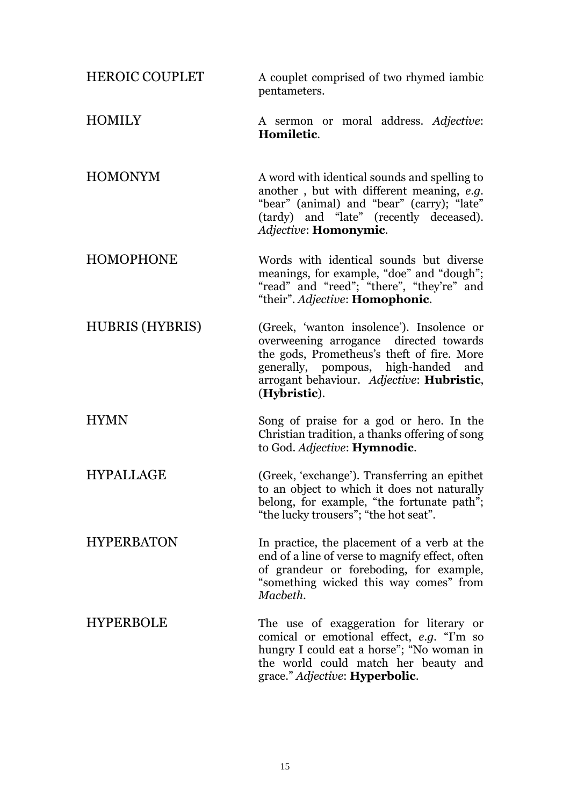| <b>HEROIC COUPLET</b>  | A couplet comprised of two rhymed iambic<br>pentameters.                                                                                                                                                                              |
|------------------------|---------------------------------------------------------------------------------------------------------------------------------------------------------------------------------------------------------------------------------------|
| <b>HOMILY</b>          | A sermon or moral address. Adjective:<br>Homiletic.                                                                                                                                                                                   |
| <b>HOMONYM</b>         | A word with identical sounds and spelling to<br>another, but with different meaning, e.g.<br>"bear" (animal) and "bear" (carry); "late"<br>(tardy) and "late" (recently deceased).<br>Adjective: Homonymic.                           |
| <b>HOMOPHONE</b>       | Words with identical sounds but diverse<br>meanings, for example, "doe" and "dough";<br>"read" and "reed"; "there", "they're" and<br>"their". Adjective: <b>Homophonic</b> .                                                          |
| <b>HUBRIS (HYBRIS)</b> | (Greek, 'wanton insolence'). Insolence or<br>overweening arrogance directed towards<br>the gods, Prometheus's theft of fire. More<br>generally, pompous, high-handed and<br>arrogant behaviour. Adjective: Hubristic,<br>(Hybristic). |
| <b>HYMN</b>            | Song of praise for a god or hero. In the<br>Christian tradition, a thanks offering of song<br>to God. Adjective: Hymnodic.                                                                                                            |
| <b>HYPALLAGE</b>       | (Greek, 'exchange'). Transferring an epithet<br>to an object to which it does not naturally<br>belong, for example, "the fortunate path";<br>"the lucky trousers"; "the hot seat".                                                    |
| <b>HYPERBATON</b>      | In practice, the placement of a verb at the<br>end of a line of verse to magnify effect, often<br>of grandeur or foreboding, for example,<br>"something wicked this way comes" from<br>Macbeth.                                       |
| <b>HYPERBOLE</b>       | The use of exaggeration for literary or<br>comical or emotional effect, e.g. "I'm so<br>hungry I could eat a horse"; "No woman in<br>the world could match her beauty and<br>grace." Adjective: <b>Hyperbolic</b> .                   |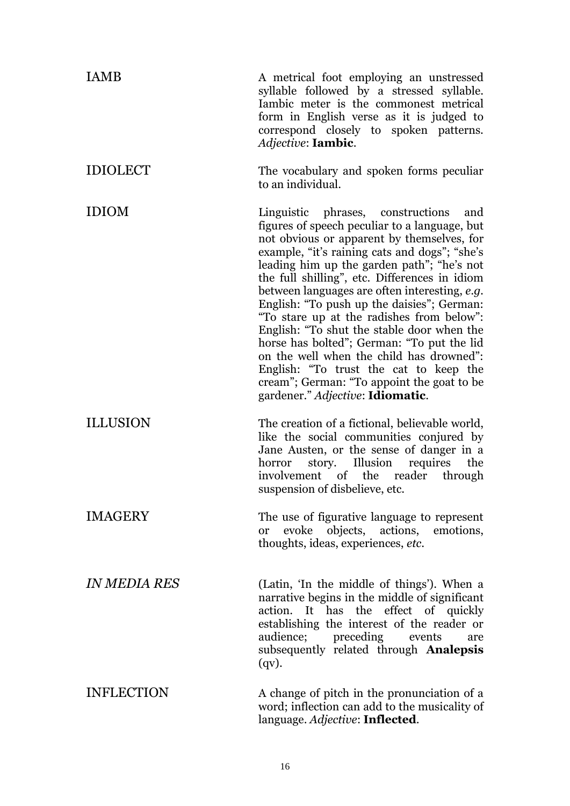| <b>IAMB</b>                | A metrical foot employing an unstressed<br>syllable followed by a stressed syllable.<br>Iambic meter is the commonest metrical<br>form in English verse as it is judged to<br>correspond closely to spoken patterns.<br>Adjective: <b>Iambic</b> .                                                                                                                                                                                                                                                                                                                                                                                                                                                      |
|----------------------------|---------------------------------------------------------------------------------------------------------------------------------------------------------------------------------------------------------------------------------------------------------------------------------------------------------------------------------------------------------------------------------------------------------------------------------------------------------------------------------------------------------------------------------------------------------------------------------------------------------------------------------------------------------------------------------------------------------|
| <b>IDIOLECT</b>            | The vocabulary and spoken forms peculiar<br>to an individual.                                                                                                                                                                                                                                                                                                                                                                                                                                                                                                                                                                                                                                           |
| <b>IDIOM</b>               | Linguistic phrases, constructions<br>and<br>figures of speech peculiar to a language, but<br>not obvious or apparent by themselves, for<br>example, "it's raining cats and dogs"; "she's<br>leading him up the garden path"; "he's not<br>the full shilling", etc. Differences in idiom<br>between languages are often interesting, e.g.<br>English: "To push up the daisies"; German:<br>"To stare up at the radishes from below":<br>English: "To shut the stable door when the<br>horse has bolted"; German: "To put the lid<br>on the well when the child has drowned":<br>English: "To trust the cat to keep the<br>cream"; German: "To appoint the goat to be<br>gardener." Adjective: Idiomatic. |
| <b>ILLUSION</b>            | The creation of a fictional, believable world,<br>like the social communities conjured by<br>Jane Austen, or the sense of danger in a<br>Illusion<br>requires<br>story.<br>the<br>horror<br>involvement of the reader through<br>suspension of disbelieve, etc.                                                                                                                                                                                                                                                                                                                                                                                                                                         |
| <b>IMAGERY</b>             | The use of figurative language to represent<br>evoke objects, actions, emotions,<br><sub>or</sub><br>thoughts, ideas, experiences, etc.                                                                                                                                                                                                                                                                                                                                                                                                                                                                                                                                                                 |
| <i><b>IN MEDIA RES</b></i> | (Latin, 'In the middle of things'). When a<br>narrative begins in the middle of significant<br>action. It has the effect of quickly<br>establishing the interest of the reader or<br>audience; preceding events<br>are<br>subsequently related through Analepsis<br>$(qv)$ .                                                                                                                                                                                                                                                                                                                                                                                                                            |
| <b>INFLECTION</b>          | A change of pitch in the pronunciation of a<br>word; inflection can add to the musicality of<br>language. Adjective: Inflected.                                                                                                                                                                                                                                                                                                                                                                                                                                                                                                                                                                         |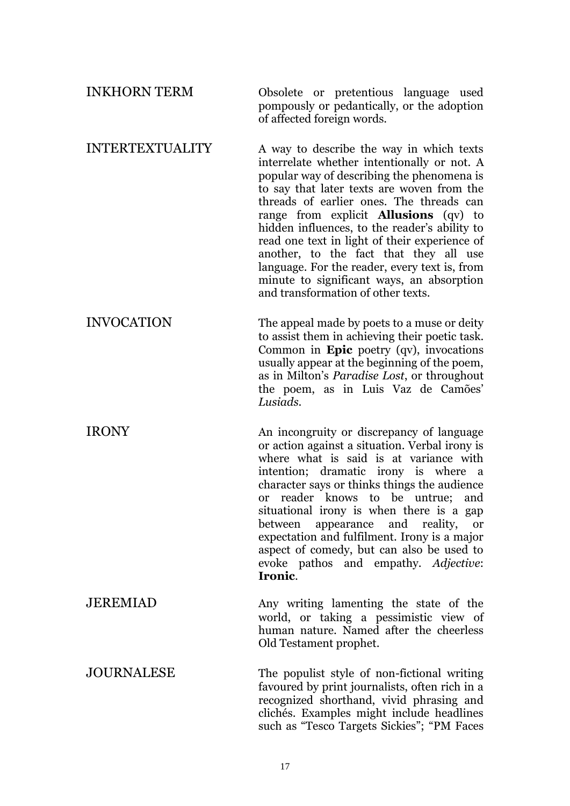| <b>INKHORN TERM</b>    | Obsolete or pretentious language used<br>pompously or pedantically, or the adoption<br>of affected foreign words.                                                                                                                                                                                                                                                                                                                                                                                                                                               |
|------------------------|-----------------------------------------------------------------------------------------------------------------------------------------------------------------------------------------------------------------------------------------------------------------------------------------------------------------------------------------------------------------------------------------------------------------------------------------------------------------------------------------------------------------------------------------------------------------|
| <b>INTERTEXTUALITY</b> | A way to describe the way in which texts<br>interrelate whether intentionally or not. A<br>popular way of describing the phenomena is<br>to say that later texts are woven from the<br>threads of earlier ones. The threads can<br>range from explicit <b>Allusions</b> (qv) to<br>hidden influences, to the reader's ability to<br>read one text in light of their experience of<br>another, to the fact that they all use<br>language. For the reader, every text is, from<br>minute to significant ways, an absorption<br>and transformation of other texts. |
| <b>INVOCATION</b>      | The appeal made by poets to a muse or deity<br>to assist them in achieving their poetic task.<br>Common in Epic poetry (qv), invocations<br>usually appear at the beginning of the poem,<br>as in Milton's <i>Paradise Lost</i> , or throughout<br>the poem, as in Luis Vaz de Camões'<br>Lusiads.                                                                                                                                                                                                                                                              |
| <b>IRONY</b>           | An incongruity or discrepancy of language<br>or action against a situation. Verbal irony is<br>where what is said is at variance with<br>intention; dramatic irony is where a<br>character says or thinks things the audience<br>reader knows to be untrue;<br>and<br><b>or</b><br>situational irony is when there is a gap<br>between appearance and reality, or<br>expectation and fulfilment. Irony is a major<br>aspect of comedy, but can also be used to<br>evoke pathos and empathy. Adjective:<br>Ironic.                                               |
| <b>JEREMIAD</b>        | Any writing lamenting the state of the<br>world, or taking a pessimistic view of<br>human nature. Named after the cheerless<br>Old Testament prophet.                                                                                                                                                                                                                                                                                                                                                                                                           |
| <b>JOURNALESE</b>      | The populist style of non-fictional writing<br>favoured by print journalists, often rich in a<br>recognized shorthand, vivid phrasing and<br>clichés. Examples might include headlines<br>such as "Tesco Targets Sickies"; "PM Faces                                                                                                                                                                                                                                                                                                                            |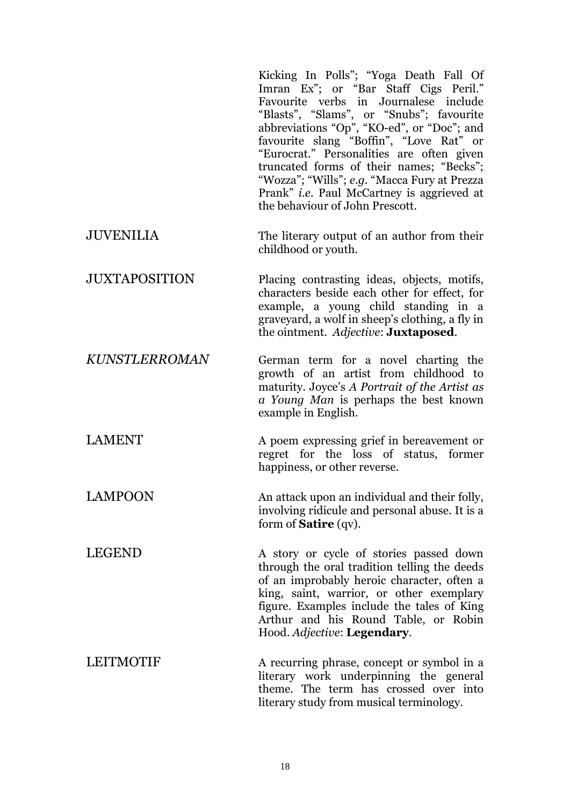Kicking In Polls"; "Yoga Death Fall Of Imran Ex"; or "Bar Staff Cigs Peril." Favourite verbs in Journalese include "Blasts", "Slams", or "Snubs"; favourite abbreviations "Op", "KO-ed", or "Doc"; and favourite slang "Boffin", "Love Rat" or "Eurocrat." Personalities are often given truncated forms of their names; "Becks"; "Wozza"; "Wills"; *e.g.* "Macca Fury at Prezza Prank" *i.e.* Paul McCartney is aggrieved at the behaviour of John Prescott.

- JUVENILIA The literary output of an author from their childhood or youth.
- JUXTAPOSITION Placing contrasting ideas, objects, motifs, characters beside each other for effect, for example, a young child standing in a graveyard, a wolf in sheep's clothing, a fly in the ointment. *Adjective*: **Juxtaposed**.

*KUNSTLERROMAN* German term for a novel charting the growth of an artist from childhood to maturity. Joyce's *A Portrait of the Artist as a Young Man* is perhaps the best known example in English.

LAMENT A poem expressing grief in bereavement or regret for the loss of status, former happiness, or other reverse.

LAMPOON An attack upon an individual and their folly, involving ridicule and personal abuse. It is a form of **Satire** (qv).

LEGEND A story or cycle of stories passed down through the oral tradition telling the deeds of an improbably heroic character, often a king, saint, warrior, or other exemplary figure. Examples include the tales of King Arthur and his Round Table, or Robin Hood. *Adjective*: **Legendary**.

LEITMOTIF A recurring phrase, concept or symbol in a literary work underpinning the general theme. The term has crossed over into literary study from musical terminology.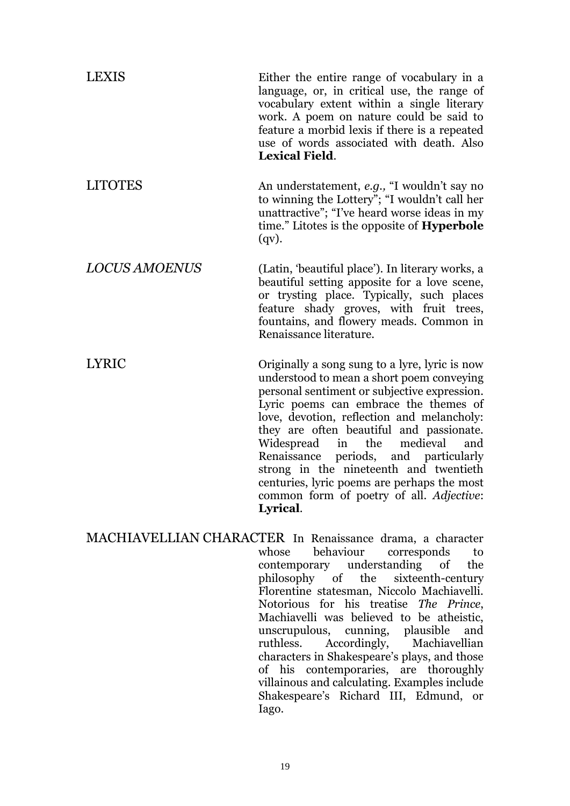| LEXIS                | Either the entire range of vocabulary in a<br>language, or, in critical use, the range of<br>vocabulary extent within a single literary<br>work. A poem on nature could be said to<br>feature a morbid lexis if there is a repeated<br>use of words associated with death. Also<br><b>Lexical Field.</b>                                                                                                                                                                                                                  |
|----------------------|---------------------------------------------------------------------------------------------------------------------------------------------------------------------------------------------------------------------------------------------------------------------------------------------------------------------------------------------------------------------------------------------------------------------------------------------------------------------------------------------------------------------------|
| <b>LITOTES</b>       | An understatement, e.g., "I wouldn't say no<br>to winning the Lottery"; "I wouldn't call her<br>unattractive"; "I've heard worse ideas in my<br>time." Litotes is the opposite of <b>Hyperbole</b><br>$(qv)$ .                                                                                                                                                                                                                                                                                                            |
| <b>LOCUS AMOENUS</b> | (Latin, 'beautiful place'). In literary works, a<br>beautiful setting apposite for a love scene,<br>or trysting place. Typically, such places<br>feature shady groves, with fruit trees,<br>fountains, and flowery meads. Common in<br>Renaissance literature.                                                                                                                                                                                                                                                            |
| <b>LYRIC</b>         | Originally a song sung to a lyre, lyric is now<br>understood to mean a short poem conveying<br>personal sentiment or subjective expression.<br>Lyric poems can embrace the themes of<br>love, devotion, reflection and melancholy:<br>they are often beautiful and passionate.<br>medieval<br>Widespread<br>the<br>and<br>in<br>periods, and particularly<br>Renaissance<br>strong in the nineteenth and twentieth<br>centuries, lyric poems are perhaps the most<br>common form of poetry of all. Adjective:<br>Lyrical. |

MACHIAVELLIAN CHARACTER In Renaissance drama, a character whose behaviour corresponds to contemporary understanding of the philosophy of the sixteenth-century Florentine statesman, Niccolo Machiavelli. Notorious for his treatise *The Prince*, Machiavelli was believed to be atheistic, unscrupulous, cunning, plausible and ruthless. Accordingly, Machiavellian characters in Shakespeare's plays, and those of his contemporaries, are thoroughly villainous and calculating. Examples include Shakespeare's Richard III, Edmund, or Iago.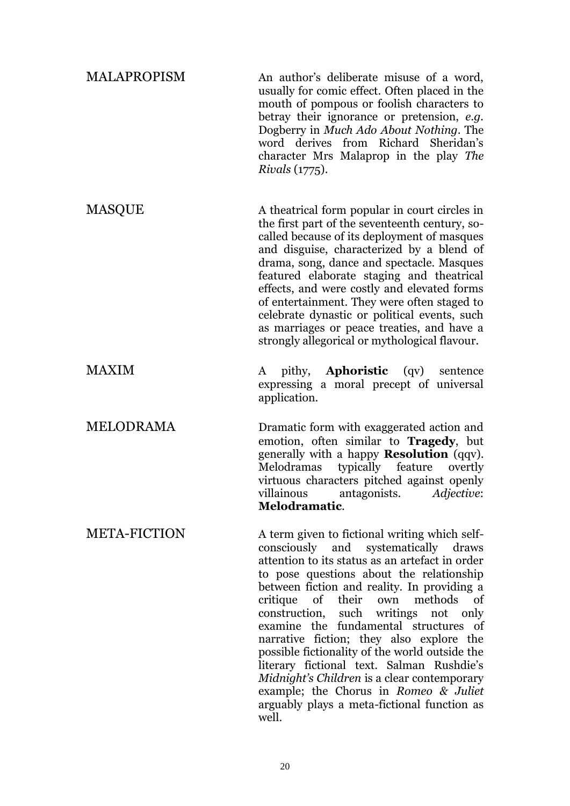| <b>MALAPROPISM</b>  | An author's deliberate misuse of a word,<br>usually for comic effect. Often placed in the<br>mouth of pompous or foolish characters to<br>betray their ignorance or pretension, e.g.<br>Dogberry in <i>Much Ado About Nothing</i> . The<br>word derives from Richard Sheridan's<br>character Mrs Malaprop in the play The<br><i>Rivals</i> (1775).                                                                                                                                                                                                                                                                                                     |
|---------------------|--------------------------------------------------------------------------------------------------------------------------------------------------------------------------------------------------------------------------------------------------------------------------------------------------------------------------------------------------------------------------------------------------------------------------------------------------------------------------------------------------------------------------------------------------------------------------------------------------------------------------------------------------------|
| <b>MASQUE</b>       | A theatrical form popular in court circles in<br>the first part of the seventeenth century, so-<br>called because of its deployment of masques<br>and disguise, characterized by a blend of<br>drama, song, dance and spectacle. Masques<br>featured elaborate staging and theatrical<br>effects, and were costly and elevated forms<br>of entertainment. They were often staged to<br>celebrate dynastic or political events, such<br>as marriages or peace treaties, and have a<br>strongly allegorical or mythological flavour.                                                                                                                     |
| MAXIM               | pithy, <b>Aphoristic</b> (qv) sentence<br>A<br>expressing a moral precept of universal<br>application.                                                                                                                                                                                                                                                                                                                                                                                                                                                                                                                                                 |
| MELODRAMA           | Dramatic form with exaggerated action and<br>emotion, often similar to <b>Tragedy</b> , but<br>generally with a happy <b>Resolution</b> (qqv).<br>typically feature<br>Melodramas<br>overtly<br>virtuous characters pitched against openly<br>villainous antagonists. Adjective:<br>Melodramatic.                                                                                                                                                                                                                                                                                                                                                      |
| <b>META-FICTION</b> | A term given to fictional writing which self-<br>consciously and systematically draws<br>attention to its status as an artefact in order<br>to pose questions about the relationship<br>between fiction and reality. In providing a<br>of their own methods of<br>critique<br>construction, such writings not only<br>examine the fundamental structures of<br>narrative fiction; they also explore the<br>possible fictionality of the world outside the<br>literary fictional text. Salman Rushdie's<br>Midnight's Children is a clear contemporary<br>example; the Chorus in Romeo & Juliet<br>arguably plays a meta-fictional function as<br>well. |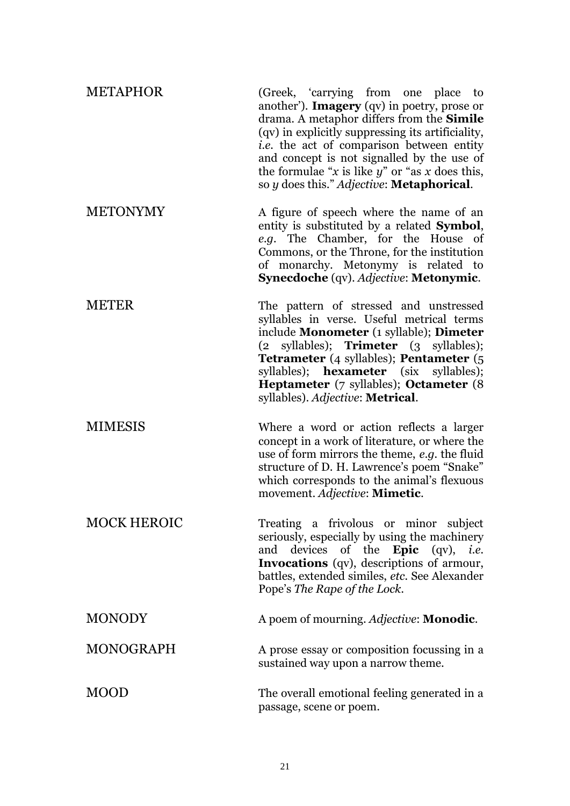| <b>METAPHOR</b>    | (Greek, 'carrying from one place to<br>another'). <b>Imagery</b> (qv) in poetry, prose or<br>drama. A metaphor differs from the <b>Simile</b><br>(qv) in explicitly suppressing its artificiality,<br><i>i.e.</i> the act of comparison between entity<br>and concept is not signalled by the use of<br>the formulae "x is like $y$ " or "as x does this,<br>so y does this." Adjective: Metaphorical. |
|--------------------|--------------------------------------------------------------------------------------------------------------------------------------------------------------------------------------------------------------------------------------------------------------------------------------------------------------------------------------------------------------------------------------------------------|
| <b>METONYMY</b>    | A figure of speech where the name of an<br>entity is substituted by a related <b>Symbol</b> ,<br>e.g. The Chamber, for the House of<br>Commons, or the Throne, for the institution<br>of monarchy. Metonymy is related to<br>Synecdoche (qv). Adjective: Metonymic.                                                                                                                                    |
| <b>METER</b>       | The pattern of stressed and unstressed<br>syllables in verse. Useful metrical terms<br>include Monometer (1 syllable); Dimeter<br>(2 syllables); Trimeter (3 syllables);<br><b>Tetrameter</b> (4 syllables); <b>Pentameter</b> (5<br>syllables); <b>hexameter</b> (six<br>syllables);<br><b>Heptameter</b> (7 syllables); <b>Octameter</b> (8<br>syllables). Adjective: Metrical.                      |
| <b>MIMESIS</b>     | Where a word or action reflects a larger<br>concept in a work of literature, or where the<br>use of form mirrors the theme, e.g. the fluid<br>structure of D. H. Lawrence's poem "Snake"<br>which corresponds to the animal's flexuous<br>movement. Adjective: Mimetic.                                                                                                                                |
| <b>MOCK HEROIC</b> | Treating a frivolous or minor subject<br>seriously, especially by using the machinery<br>and devices of the <b>Epic</b> (qv), <i>i.e.</i><br>Invocations (qv), descriptions of armour,<br>battles, extended similes, etc. See Alexander<br>Pope's The Rape of the Lock.                                                                                                                                |
| <b>MONODY</b>      | A poem of mourning. Adjective: Monodic.                                                                                                                                                                                                                                                                                                                                                                |
| <b>MONOGRAPH</b>   | A prose essay or composition focussing in a<br>sustained way upon a narrow theme.                                                                                                                                                                                                                                                                                                                      |
| MOOD               | The overall emotional feeling generated in a<br>passage, scene or poem.                                                                                                                                                                                                                                                                                                                                |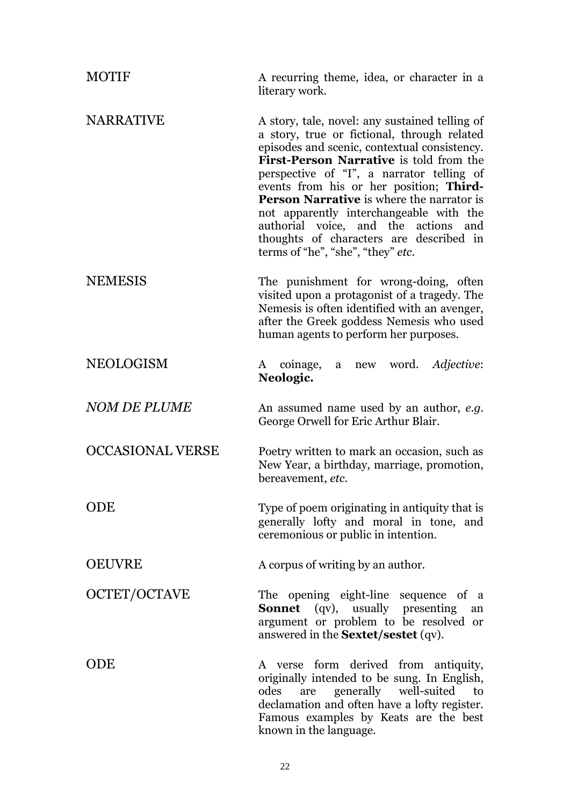| <b>MOTIF</b>            | A recurring theme, idea, or character in a<br>literary work.                                                                                                                                                                                                                                                                                                                                                                                                                                               |
|-------------------------|------------------------------------------------------------------------------------------------------------------------------------------------------------------------------------------------------------------------------------------------------------------------------------------------------------------------------------------------------------------------------------------------------------------------------------------------------------------------------------------------------------|
| <b>NARRATIVE</b>        | A story, tale, novel: any sustained telling of<br>a story, true or fictional, through related<br>episodes and scenic, contextual consistency.<br>First-Person Narrative is told from the<br>perspective of "I", a narrator telling of<br>events from his or her position; Third-<br><b>Person Narrative</b> is where the narrator is<br>not apparently interchangeable with the<br>authorial voice, and the actions<br>and<br>thoughts of characters are described in<br>terms of "he", "she", "they" etc. |
| <b>NEMESIS</b>          | The punishment for wrong-doing, often<br>visited upon a protagonist of a tragedy. The<br>Nemesis is often identified with an avenger,<br>after the Greek goddess Nemesis who used<br>human agents to perform her purposes.                                                                                                                                                                                                                                                                                 |
| <b>NEOLOGISM</b>        | a new word. Adjective:<br>coinage,<br>A<br>Neologic.                                                                                                                                                                                                                                                                                                                                                                                                                                                       |
| <b>NOM DE PLUME</b>     | An assumed name used by an author, e.g.<br>George Orwell for Eric Arthur Blair.                                                                                                                                                                                                                                                                                                                                                                                                                            |
| <b>OCCASIONAL VERSE</b> | Poetry written to mark an occasion, such as<br>New Year, a birthday, marriage, promotion,<br>bereavement, etc.                                                                                                                                                                                                                                                                                                                                                                                             |
| ODE                     | Type of poem originating in antiquity that is<br>generally lofty and moral in tone, and<br>ceremonious or public in intention.                                                                                                                                                                                                                                                                                                                                                                             |
| <b>OEUVRE</b>           | A corpus of writing by an author.                                                                                                                                                                                                                                                                                                                                                                                                                                                                          |
| OCTET/OCTAVE            | The opening eight-line sequence of a<br><b>Sonnet</b> (qv), usually presenting<br>an<br>argument or problem to be resolved or<br>answered in the <b>Sextet/sestet</b> (qv).                                                                                                                                                                                                                                                                                                                                |
| ODE                     | A verse form derived from antiquity,<br>originally intended to be sung. In English,<br>generally well-suited<br>odes<br>to<br>are<br>declamation and often have a lofty register.<br>Famous examples by Keats are the best<br>known in the language.                                                                                                                                                                                                                                                       |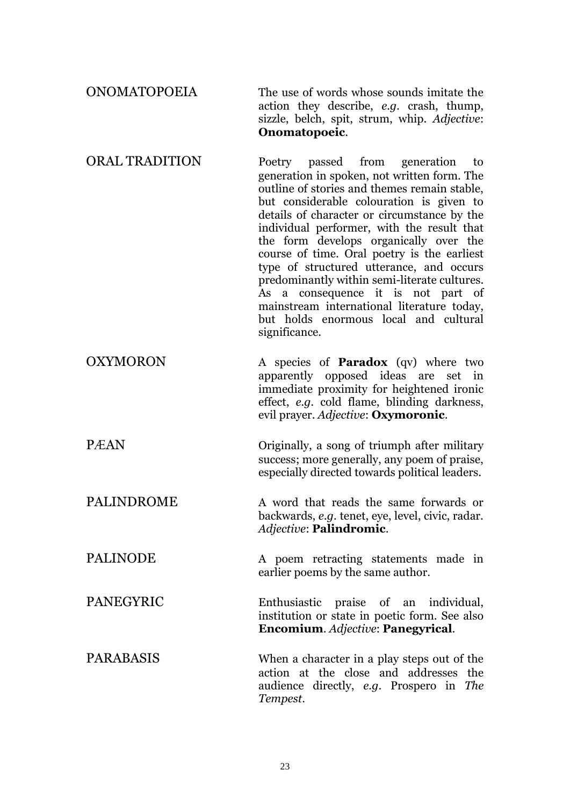| <b>ONOMATOPOEIA</b>   | The use of words whose sounds imitate the<br>action they describe, e.g. crash, thump,<br>sizzle, belch, spit, strum, whip. Adjective:<br>Onomatopoeic.                                                                                                                                                                                                                                                                                                                                                                                                                                                               |
|-----------------------|----------------------------------------------------------------------------------------------------------------------------------------------------------------------------------------------------------------------------------------------------------------------------------------------------------------------------------------------------------------------------------------------------------------------------------------------------------------------------------------------------------------------------------------------------------------------------------------------------------------------|
| <b>ORAL TRADITION</b> | passed<br>from generation<br>Poetry<br>to<br>generation in spoken, not written form. The<br>outline of stories and themes remain stable,<br>but considerable colouration is given to<br>details of character or circumstance by the<br>individual performer, with the result that<br>the form develops organically over the<br>course of time. Oral poetry is the earliest<br>type of structured utterance, and occurs<br>predominantly within semi-literate cultures.<br>As a consequence it is not part of<br>mainstream international literature today,<br>but holds enormous local and cultural<br>significance. |
| <b>OXYMORON</b>       | A species of <b>Paradox</b> (qv) where two<br>apparently opposed ideas are set in<br>immediate proximity for heightened ironic<br>effect, e.g. cold flame, blinding darkness,<br>evil prayer. Adjective: Oxymoronic.                                                                                                                                                                                                                                                                                                                                                                                                 |
| <b>PÆAN</b>           | Originally, a song of triumph after military<br>success; more generally, any poem of praise,<br>especially directed towards political leaders.                                                                                                                                                                                                                                                                                                                                                                                                                                                                       |
| PALINDROME            | A word that reads the same forwards or<br>backwards, e.g. tenet, eye, level, civic, radar.<br>Adjective: Palindromic.                                                                                                                                                                                                                                                                                                                                                                                                                                                                                                |
| <b>PALINODE</b>       | A poem retracting statements made in<br>earlier poems by the same author.                                                                                                                                                                                                                                                                                                                                                                                                                                                                                                                                            |
| <b>PANEGYRIC</b>      | praise of an individual,<br>Enthusiastic<br>institution or state in poetic form. See also<br>Encomium. Adjective: Panegyrical.                                                                                                                                                                                                                                                                                                                                                                                                                                                                                       |
| <b>PARABASIS</b>      | When a character in a play steps out of the<br>action at the close and addresses<br>the<br>audience directly, e.g. Prospero in The<br>Tempest.                                                                                                                                                                                                                                                                                                                                                                                                                                                                       |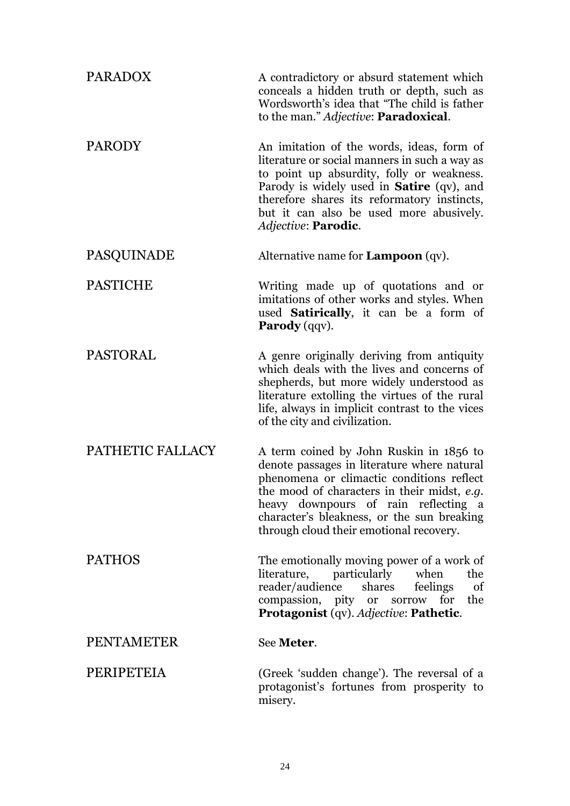| <b>PARADOX</b>    | A contradictory or absurd statement which<br>conceals a hidden truth or depth, such as<br>Wordsworth's idea that "The child is father<br>to the man." Adjective: Paradoxical.                                                                                                                                       |
|-------------------|---------------------------------------------------------------------------------------------------------------------------------------------------------------------------------------------------------------------------------------------------------------------------------------------------------------------|
| <b>PARODY</b>     | An imitation of the words, ideas, form of<br>literature or social manners in such a way as<br>to point up absurdity, folly or weakness.<br>Parody is widely used in <b>Satire</b> (qv), and<br>therefore shares its reformatory instincts,<br>but it can also be used more abusively.<br>Adjective: Parodic.        |
| <b>PASQUINADE</b> | Alternative name for $Lampoon (qv)$ .                                                                                                                                                                                                                                                                               |
| <b>PASTICHE</b>   | Writing made up of quotations and or<br>imitations of other works and styles. When<br>used <b>Satirically</b> , it can be a form of<br><b>Parody</b> (qqv).                                                                                                                                                         |
| <b>PASTORAL</b>   | A genre originally deriving from antiquity<br>which deals with the lives and concerns of<br>shepherds, but more widely understood as<br>literature extolling the virtues of the rural<br>life, always in implicit contrast to the vices<br>of the city and civilization.                                            |
| PATHETIC FALLACY  | A term coined by John Ruskin in 1856 to<br>denote passages in literature where natural<br>phenomena or climactic conditions reflect<br>the mood of characters in their midst, e.g.<br>heavy downpours of rain reflecting a<br>character's bleakness, or the sun breaking<br>through cloud their emotional recovery. |
| <b>PATHOS</b>     | The emotionally moving power of a work of<br>literature, particularly when<br>the<br>reader/audience shares<br>feelings<br>of<br>compassion, pity or sorrow for the<br>Protagonist (qv). Adjective: Pathetic.                                                                                                       |
| <b>PENTAMETER</b> | See Meter.                                                                                                                                                                                                                                                                                                          |
| PERIPETEIA        | (Greek 'sudden change'). The reversal of a<br>protagonist's fortunes from prosperity to<br>misery.                                                                                                                                                                                                                  |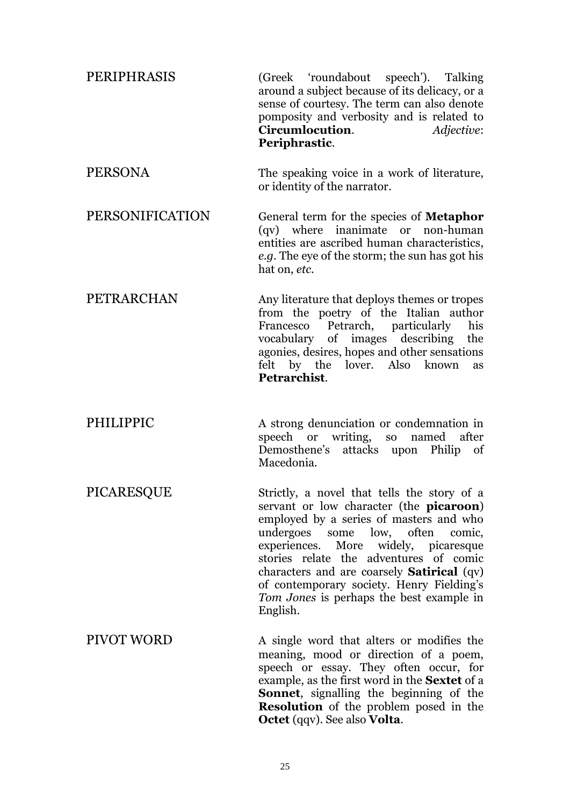| PERIPHRASIS       | (Greek 'roundabout speech'). Talking<br>around a subject because of its delicacy, or a<br>sense of courtesy. The term can also denote<br>pomposity and verbosity and is related to<br>Circumlocution.<br><i>Adjective:</i><br>Periphrastic.                                                                                                                                                                           |
|-------------------|-----------------------------------------------------------------------------------------------------------------------------------------------------------------------------------------------------------------------------------------------------------------------------------------------------------------------------------------------------------------------------------------------------------------------|
| <b>PERSONA</b>    | The speaking voice in a work of literature,<br>or identity of the narrator.                                                                                                                                                                                                                                                                                                                                           |
| PERSONIFICATION   | General term for the species of <b>Metaphor</b><br>(qv) where inanimate or non-human<br>entities are ascribed human characteristics,<br>e.g. The eye of the storm; the sun has got his<br>hat on, etc.                                                                                                                                                                                                                |
| PETRARCHAN        | Any literature that deploys themes or tropes<br>from the poetry of the Italian author<br>Francesco Petrarch, particularly<br>his<br>vocabulary of images describing the<br>agonies, desires, hopes and other sensations<br>felt by the lover. Also known<br>as<br>Petrarchist.                                                                                                                                        |
| PHILIPPIC         | A strong denunciation or condemnation in<br>speech or writing, so named after<br>Demosthene's attacks upon Philip of<br>Macedonia.                                                                                                                                                                                                                                                                                    |
| PICARESQUE        | Strictly, a novel that tells the story of a<br>servant or low character (the <b>picaroon</b> )<br>employed by a series of masters and who<br>undergoes some low, often<br>comic,<br>experiences. More widely, picaresque<br>stories relate the adventures of comic<br>characters and are coarsely Satirical (qv)<br>of contemporary society. Henry Fielding's<br>Tom Jones is perhaps the best example in<br>English. |
| <b>PIVOT WORD</b> | A single word that alters or modifies the<br>meaning, mood or direction of a poem,<br>speech or essay. They often occur, for<br>example, as the first word in the <b>Sextet</b> of a<br>Sonnet, signalling the beginning of the<br><b>Resolution</b> of the problem posed in the<br><b>Octet</b> (qqv). See also <b>Volta</b> .                                                                                       |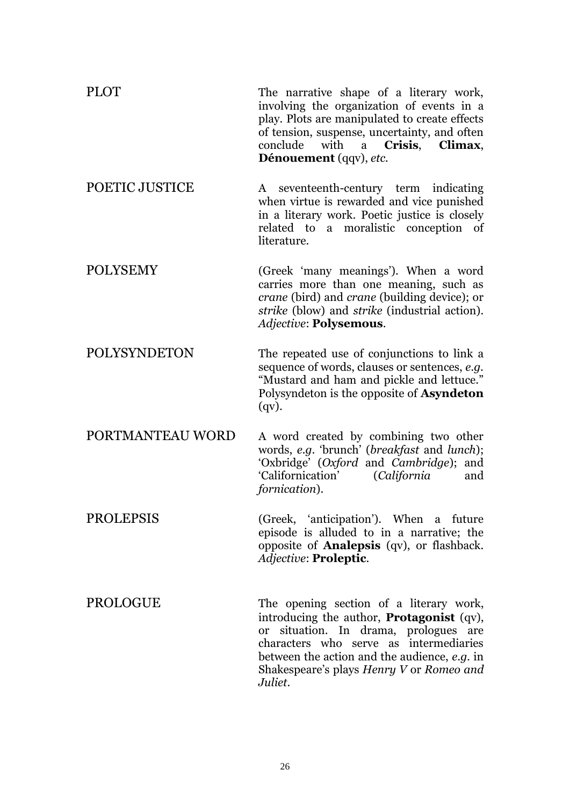| <b>PLOT</b>      | The narrative shape of a literary work,<br>involving the organization of events in a<br>play. Plots are manipulated to create effects<br>of tension, suspense, uncertainty, and often<br>Crisis,<br>conclude with a<br>Climax,<br>Dénouement (qqv), etc. |
|------------------|----------------------------------------------------------------------------------------------------------------------------------------------------------------------------------------------------------------------------------------------------------|
| POETIC JUSTICE   | A seventeenth-century term indicating<br>when virtue is rewarded and vice punished<br>in a literary work. Poetic justice is closely<br>related to a moralistic conception of<br>literature.                                                              |
| <b>POLYSEMY</b>  | (Greek 'many meanings'). When a word<br>carries more than one meaning, such as<br>crane (bird) and crane (building device); or<br>strike (blow) and strike (industrial action).<br>Adjective: Polysemous.                                                |
| POLYSYNDETON     | The repeated use of conjunctions to link a<br>sequence of words, clauses or sentences, e.g.<br>"Mustard and ham and pickle and lettuce."<br>Polysyndeton is the opposite of <b>Asyndeton</b><br>$(qv)$ .                                                 |
| PORTMANTEAU WORD | A word created by combining two other<br>words, e.g. 'brunch' (breakfast and lunch);<br>'Oxbridge' (Oxford and Cambridge); and<br>'Californication'<br>(California<br>and<br>fornication).                                                               |
| <b>PROLEPSIS</b> | (Greek, 'anticipation'). When a future<br>episode is alluded to in a narrative; the<br>opposite of <b>Analepsis</b> (qv), or flashback.<br>Adjective: Proleptic.                                                                                         |
| PROLOGUE         | The opening section of a literary work,<br>introducing the author, <b>Protagonist</b> (qv),<br>or situation. In drama, prologues are<br>characters who serve as intermediaries                                                                           |

26

*Juliet*.

between the action and the audience, *e.g.* in Shakespeare's plays *Henry V* or *Romeo and*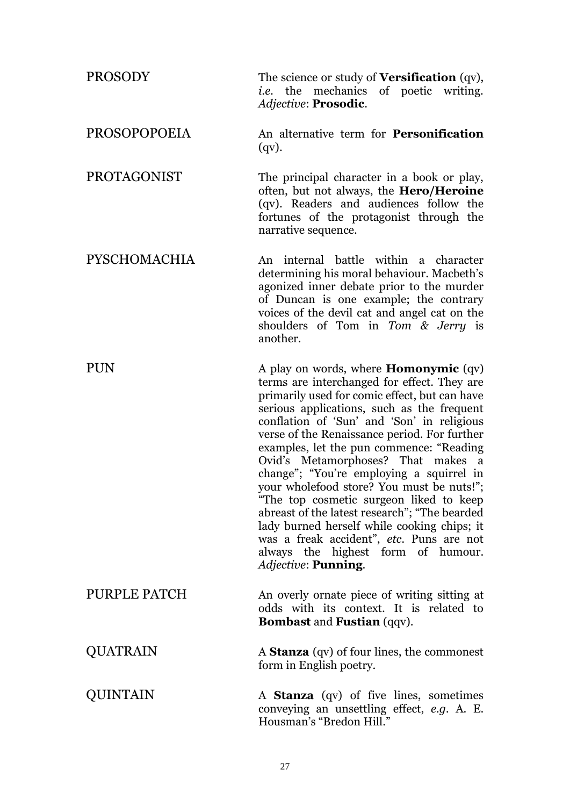| <b>PROSODY</b>      | The science or study of <b>Versification</b> (qv),<br><i>i.e.</i> the mechanics of poetic writing.<br><i>Adjective: Prosodic.</i>                                                                                                                                                                                                                                                                                                                                                                                                                                                                                                                                                                                       |
|---------------------|-------------------------------------------------------------------------------------------------------------------------------------------------------------------------------------------------------------------------------------------------------------------------------------------------------------------------------------------------------------------------------------------------------------------------------------------------------------------------------------------------------------------------------------------------------------------------------------------------------------------------------------------------------------------------------------------------------------------------|
| <b>PROSOPOPOEIA</b> | An alternative term for <b>Personification</b><br>$(qv)$ .                                                                                                                                                                                                                                                                                                                                                                                                                                                                                                                                                                                                                                                              |
| <b>PROTAGONIST</b>  | The principal character in a book or play,<br>often, but not always, the <b>Hero/Heroine</b><br>(qv). Readers and audiences follow the<br>fortunes of the protagonist through the<br>narrative sequence.                                                                                                                                                                                                                                                                                                                                                                                                                                                                                                                |
| <b>PYSCHOMACHIA</b> | An internal battle within a character<br>determining his moral behaviour. Macbeth's<br>agonized inner debate prior to the murder<br>of Duncan is one example; the contrary<br>voices of the devil cat and angel cat on the<br>shoulders of Tom in Tom & Jerry is<br>another.                                                                                                                                                                                                                                                                                                                                                                                                                                            |
| PUN                 | A play on words, where <b>Homonymic</b> (qv)<br>terms are interchanged for effect. They are<br>primarily used for comic effect, but can have<br>serious applications, such as the frequent<br>conflation of 'Sun' and 'Son' in religious<br>verse of the Renaissance period. For further<br>examples, let the pun commence: "Reading<br>Ovid's Metamorphoses? That makes a<br>change"; "You're employing a squirrel in<br>your wholefood store? You must be nuts!";<br>"The top cosmetic surgeon liked to keep<br>abreast of the latest research"; "The bearded<br>lady burned herself while cooking chips; it<br>was a freak accident", etc. Puns are not<br>always the highest form of humour.<br>Adjective: Punning. |
| PURPLE PATCH        | An overly ornate piece of writing sitting at<br>odds with its context. It is related to<br><b>Bombast and Fustian (qqv).</b>                                                                                                                                                                                                                                                                                                                                                                                                                                                                                                                                                                                            |
| QUATRAIN            | A <b>Stanza</b> (qv) of four lines, the commonest<br>form in English poetry.                                                                                                                                                                                                                                                                                                                                                                                                                                                                                                                                                                                                                                            |
| QUINTAIN            | A <b>Stanza</b> (qv) of five lines, sometimes<br>conveying an unsettling effect, e.g. A. E.<br>Housman's "Bredon Hill."                                                                                                                                                                                                                                                                                                                                                                                                                                                                                                                                                                                                 |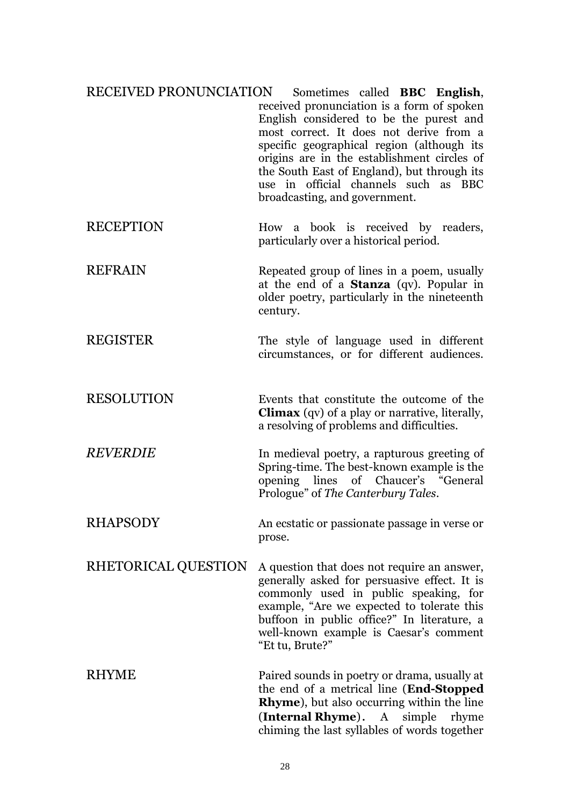| RECEIVED PRONUNCIATION | Sometimes called BBC English,<br>received pronunciation is a form of spoken<br>English considered to be the purest and<br>most correct. It does not derive from a<br>specific geographical region (although its<br>origins are in the establishment circles of<br>the South East of England), but through its<br>use in official channels such as BBC<br>broadcasting, and government. |
|------------------------|----------------------------------------------------------------------------------------------------------------------------------------------------------------------------------------------------------------------------------------------------------------------------------------------------------------------------------------------------------------------------------------|
| <b>RECEPTION</b>       | How a book is received by readers,<br>particularly over a historical period.                                                                                                                                                                                                                                                                                                           |
| <b>REFRAIN</b>         | Repeated group of lines in a poem, usually<br>at the end of a <b>Stanza</b> (qv). Popular in<br>older poetry, particularly in the nineteenth<br>century.                                                                                                                                                                                                                               |
| <b>REGISTER</b>        | The style of language used in different<br>circumstances, or for different audiences.                                                                                                                                                                                                                                                                                                  |
| <b>RESOLUTION</b>      | Events that constitute the outcome of the<br><b>Climax</b> (qv) of a play or narrative, literally,<br>a resolving of problems and difficulties.                                                                                                                                                                                                                                        |
| <b>REVERDIE</b>        | In medieval poetry, a rapturous greeting of<br>Spring-time. The best-known example is the<br>opening lines of Chaucer's "General<br>Prologue" of The Canterbury Tales.                                                                                                                                                                                                                 |
| <b>RHAPSODY</b>        | An ecstatic or passionate passage in verse or<br>prose.                                                                                                                                                                                                                                                                                                                                |
| RHETORICAL QUESTION    | A question that does not require an answer,<br>generally asked for persuasive effect. It is<br>commonly used in public speaking, for<br>example, "Are we expected to tolerate this<br>buffoon in public office?" In literature, a                                                                                                                                                      |

RHYME Paired sounds in poetry or drama, usually at the end of a metrical line (**End-Stopped Rhyme**), but also occurring within the line (**Internal Rhyme**). A simple rhyme chiming the last syllables of words together

"Et tu, Brute?"

well-known example is Caesar's comment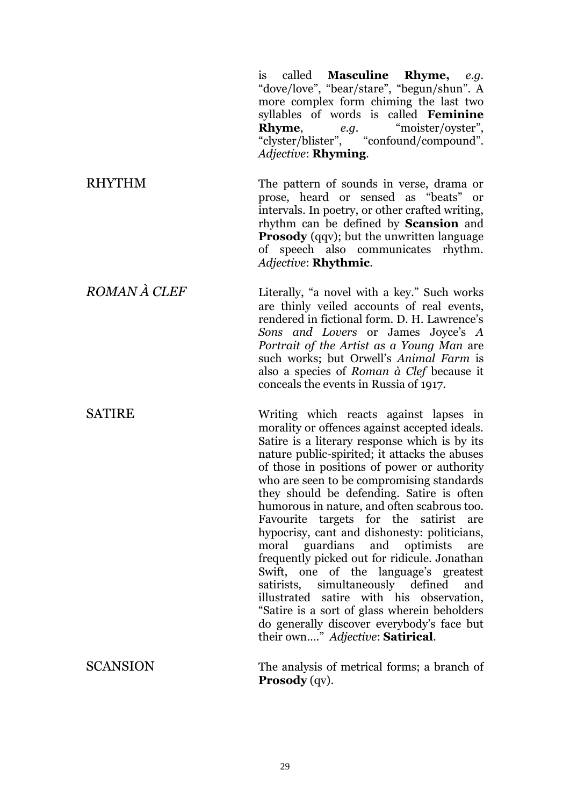is called **Masculine Rhyme,** *e.g.* "dove/love", "bear/stare", "begun/shun". A more complex form chiming the last two syllables of words is called **Feminine Rhyme**, *e.g.* "moister/oyster", "clyster/blister", "confound/compound". *Adjective*: **Rhyming**. RHYTHM The pattern of sounds in verse, drama or prose, heard or sensed as "beats" or intervals. In poetry, or other crafted writing, rhythm can be defined by **Scansion** and **Prosody** (qqv); but the unwritten language of speech also communicates rhythm. *Adjective*: **Rhythmic**. *ROMAN À CLEF* Literally, "a novel with a key." Such works are thinly veiled accounts of real events, rendered in fictional form. D. H. Lawrence's *Sons and Lovers* or James Joyce's *A Portrait of the Artist as a Young Man* are such works; but Orwell's *Animal Farm* is also a species of *Roman à Clef* because it conceals the events in Russia of 1917. SATIRE Writing which reacts against lapses in morality or offences against accepted ideals. Satire is a literary response which is by its nature public-spirited; it attacks the abuses of those in positions of power or authority who are seen to be compromising standards they should be defending. Satire is often humorous in nature, and often scabrous too. Favourite targets for the satirist are hypocrisy, cant and dishonesty: politicians, moral guardians and optimists are frequently picked out for ridicule. Jonathan Swift, one of the language's greatest satirists, simultaneously defined and illustrated satire with his observation, "Satire is a sort of glass wherein beholders do generally discover everybody's face but their own…." *Adjective*: **Satirical**. SCANSION The analysis of metrical forms; a branch of **Prosody** (qv).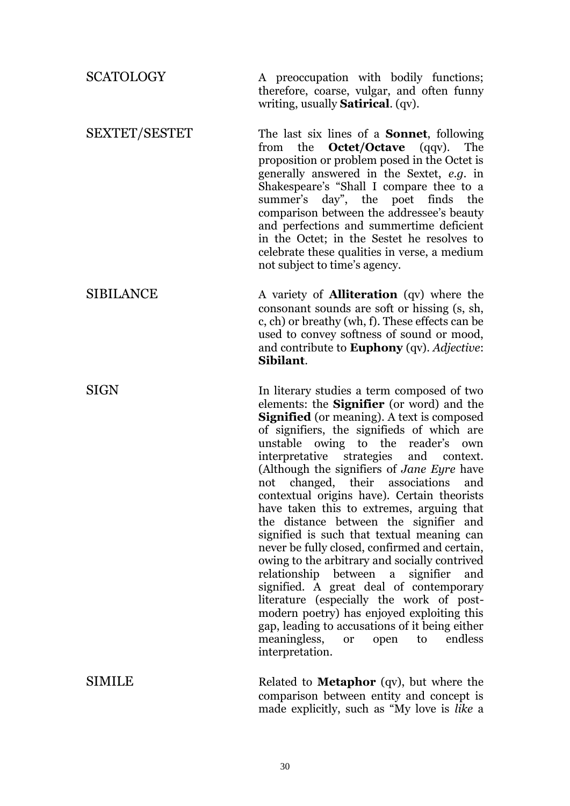| <b>SCATOLOGY</b>     | A preoccupation with bodily functions;<br>therefore, coarse, vulgar, and often funny<br>writing, usually <b>Satirical</b> . (qv).                                                                                                                                                                                                                                                                                                                                                                                                                                                                                                                                                                                                                                                                                                                                                                                                                                            |
|----------------------|------------------------------------------------------------------------------------------------------------------------------------------------------------------------------------------------------------------------------------------------------------------------------------------------------------------------------------------------------------------------------------------------------------------------------------------------------------------------------------------------------------------------------------------------------------------------------------------------------------------------------------------------------------------------------------------------------------------------------------------------------------------------------------------------------------------------------------------------------------------------------------------------------------------------------------------------------------------------------|
| <b>SEXTET/SESTET</b> | The last six lines of a <b>Sonnet</b> , following<br>the <b>Octet/Octave</b> (qqv).<br>The<br>from<br>proposition or problem posed in the Octet is<br>generally answered in the Sextet, e.g. in<br>Shakespeare's "Shall I compare thee to a<br>summer's day", the poet finds<br>the<br>comparison between the addressee's beauty<br>and perfections and summertime deficient<br>in the Octet; in the Sestet he resolves to<br>celebrate these qualities in verse, a medium<br>not subject to time's agency.                                                                                                                                                                                                                                                                                                                                                                                                                                                                  |
| <b>SIBILANCE</b>     | A variety of <b>Alliteration</b> (qv) where the<br>consonant sounds are soft or hissing (s, sh,<br>c, ch) or breathy (wh, f). These effects can be<br>used to convey softness of sound or mood,<br>and contribute to <b>Euphony</b> (qv). Adjective:<br>Sibilant.                                                                                                                                                                                                                                                                                                                                                                                                                                                                                                                                                                                                                                                                                                            |
| SIGN                 | In literary studies a term composed of two<br>elements: the <b>Signifier</b> (or word) and the<br>Signified (or meaning). A text is composed<br>of signifiers, the signifieds of which are<br>unstable owing to the reader's<br>own<br>interpretative strategies and context.<br>(Although the signifiers of Jane Eyre have<br>not changed, their associations<br>and<br>contextual origins have). Certain theorists<br>have taken this to extremes, arguing that<br>the distance between the signifier and<br>signified is such that textual meaning can<br>never be fully closed, confirmed and certain,<br>owing to the arbitrary and socially contrived<br>relationship<br>between<br>a signifier<br>and<br>signified. A great deal of contemporary<br>literature (especially the work of post-<br>modern poetry) has enjoyed exploiting this<br>gap, leading to accusations of it being either<br>meaningless,<br>endless<br>open<br>to<br><b>or</b><br>interpretation. |
| <b>SIMILE</b>        | Related to <b>Metaphor</b> (qv), but where the<br>comparison between entity and concept is<br>made explicitly, such as "My love is like a                                                                                                                                                                                                                                                                                                                                                                                                                                                                                                                                                                                                                                                                                                                                                                                                                                    |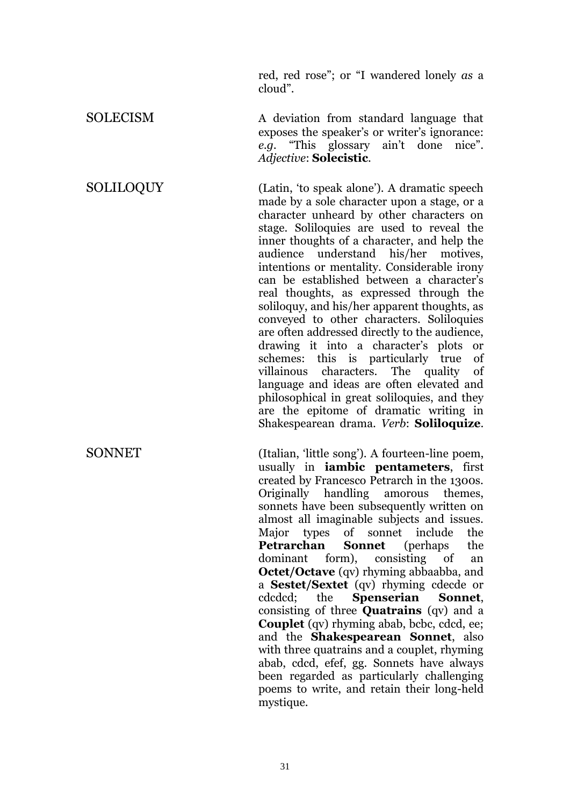red, red rose"; or "I wandered lonely *as* a cloud".

exposes the speaker's or writer's ignorance: *e.g.* "This glossary ain't done nice".

*Adjective*: **Solecistic**.

SOLECISM A deviation from standard language that

SOLILOQUY (Latin, 'to speak alone'). A dramatic speech made by a sole character upon a stage, or a character unheard by other characters on stage. Soliloquies are used to reveal the inner thoughts of a character, and help the audience understand his/her motives, intentions or mentality. Considerable irony can be established between a character's real thoughts, as expressed through the soliloquy, and his/her apparent thoughts, as conveyed to other characters. Soliloquies are often addressed directly to the audience, drawing it into a character's plots or schemes: this is particularly true of villainous characters. The quality of language and ideas are often elevated and philosophical in great soliloquies, and they are the epitome of dramatic writing in Shakespearean drama. *Verb*: **Soliloquize**.

SONNET (Italian, 'little song'). A fourteen-line poem, usually in **iambic pentameters**, first created by Francesco Petrarch in the 1300s. Originally handling amorous themes, sonnets have been subsequently written on almost all imaginable subjects and issues. Major types of sonnet include the **Petrarchan Sonnet** (perhaps the dominant form), consisting of an **Octet/Octave** (qv) rhyming abbaabba, and a **Sestet/Sextet** (qv) rhyming cdecde or cdcdcd; the **Spenserian Sonnet**, consisting of three **Quatrains** (qv) and a **Couplet** (qv) rhyming abab, bcbc, cdcd, ee; and the **Shakespearean Sonnet**, also with three quatrains and a couplet, rhyming abab, cdcd, efef, gg. Sonnets have always been regarded as particularly challenging poems to write, and retain their long-held mystique.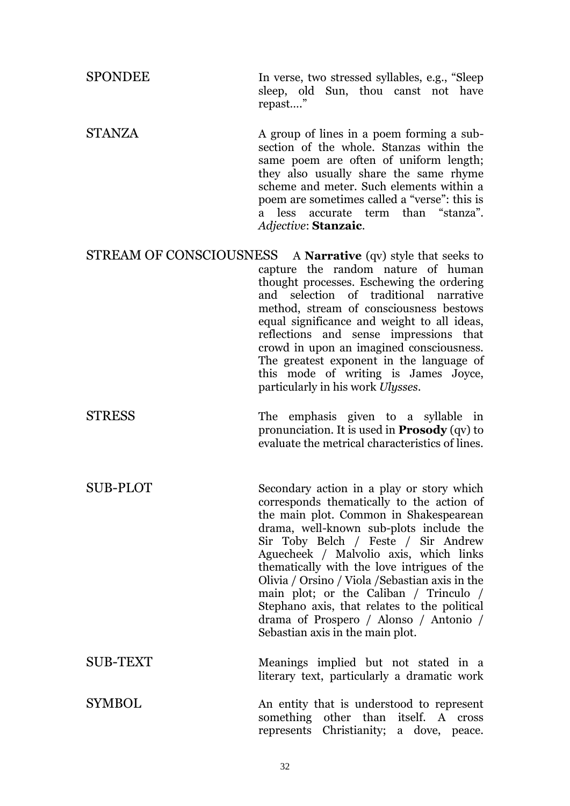SPONDEE In verse, two stressed syllables, e.g., "Sleep sleep, old Sun, thou canst not have repast…."

STANZA A group of lines in a poem forming a subsection of the whole. Stanzas within the same poem are often of uniform length; they also usually share the same rhyme scheme and meter. Such elements within a poem are sometimes called a "verse": this is a less accurate term than "stanza". *Adjective*: **Stanzaic**.

STREAM OF CONSCIOUSNESS A **Narrative** (qv) style that seeks to capture the random nature of human thought processes. Eschewing the ordering and selection of traditional narrative method, stream of consciousness bestows equal significance and weight to all ideas, reflections and sense impressions that crowd in upon an imagined consciousness. The greatest exponent in the language of this mode of writing is James Joyce, particularly in his work *Ulysses*.

STRESS The emphasis given to a syllable in pronunciation. It is used in **Prosody** (qv) to evaluate the metrical characteristics of lines.

SUB-PLOT Secondary action in a play or story which corresponds thematically to the action of the main plot. Common in Shakespearean drama, well-known sub-plots include the Sir Toby Belch / Feste / Sir Andrew Aguecheek / Malvolio axis, which links thematically with the love intrigues of the Olivia / Orsino / Viola /Sebastian axis in the main plot; or the Caliban / Trinculo / Stephano axis, that relates to the political drama of Prospero / Alonso / Antonio / Sebastian axis in the main plot.

SUB-TEXT Meanings implied but not stated in a literary text, particularly a dramatic work

SYMBOL 31 An entity that is understood to represent something other than itself. A cross represents Christianity; a dove, peace.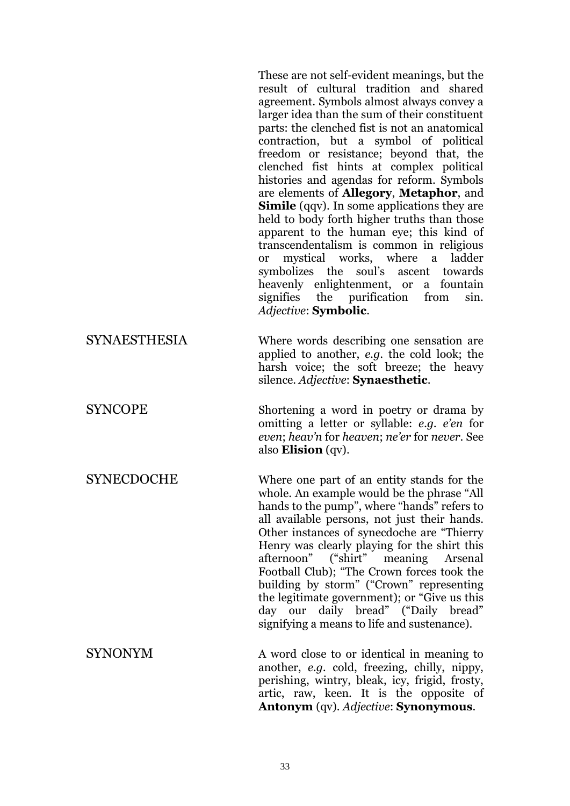These are not self-evident meanings, but the result of cultural tradition and shared agreement. Symbols almost always convey a larger idea than the sum of their constituent parts: the clenched fist is not an anatomical contraction, but a symbol of political freedom or resistance; beyond that, the clenched fist hints at complex political histories and agendas for reform. Symbols are elements of **Allegory**, **Metaphor**, and **Simile** (gav). In some applications they are held to body forth higher truths than those apparent to the human eye; this kind of transcendentalism is common in religious or mystical works, where a ladder symbolizes the soul's ascent towards heavenly enlightenment, or a fountain signifies the purification from sin. *Adjective*: **Symbolic**.

SYNAESTHESIA Where words describing one sensation are applied to another, *e.g.* the cold look; the harsh voice; the soft breeze; the heavy silence. *Adjective*: **Synaesthetic**.

SYNCOPE Shortening a word in poetry or drama by omitting a letter or syllable: *e.g. e'en* for *even*; *heav'n* for *heaven*; *ne'er* for *never*. See also **Elision** (qv).

SYNECDOCHE Where one part of an entity stands for the whole. An example would be the phrase "All hands to the pump", where "hands" refers to all available persons, not just their hands. Other instances of synecdoche are "Thierry Henry was clearly playing for the shirt this<br>afternoon" ("shirt" meaning Arsenal afternoon" ("shirt" meaning Arsenal Football Club); "The Crown forces took the building by storm" ("Crown" representing the legitimate government); or "Give us this day our daily bread" ("Daily bread" signifying a means to life and sustenance).

SYNONYM A word close to or identical in meaning to another, *e.g.* cold, freezing, chilly, nippy, perishing, wintry, bleak, icy, frigid, frosty, artic, raw, keen. It is the opposite of **Antonym** (qv). *Adjective*: **Synonymous**.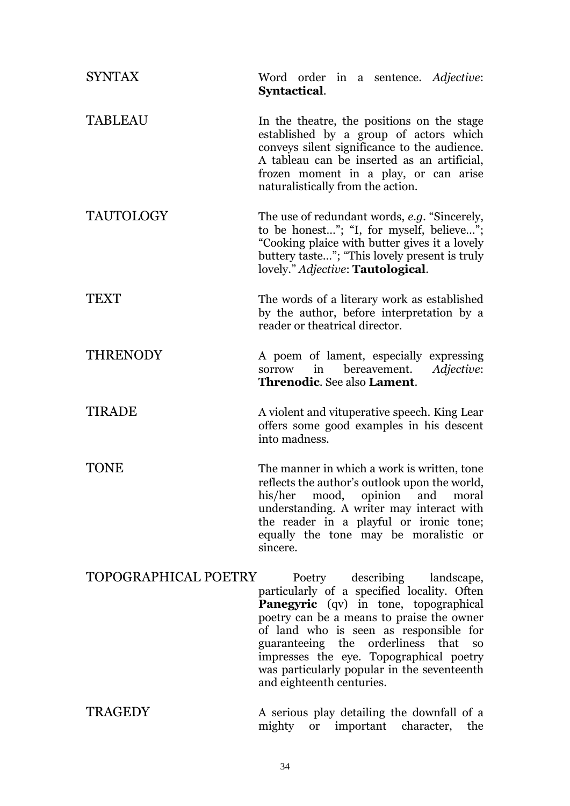| <b>SYNTAX</b>               | Word order in a sentence. Adjective:<br>Syntactical.                                                                                                                                                                                                                                                                                                                                           |
|-----------------------------|------------------------------------------------------------------------------------------------------------------------------------------------------------------------------------------------------------------------------------------------------------------------------------------------------------------------------------------------------------------------------------------------|
| <b>TABLEAU</b>              | In the theatre, the positions on the stage<br>established by a group of actors which<br>conveys silent significance to the audience.<br>A tableau can be inserted as an artificial,<br>frozen moment in a play, or can arise<br>naturalistically from the action.                                                                                                                              |
| <b>TAUTOLOGY</b>            | The use of redundant words, e.g. "Sincerely,<br>to be honest"; "I, for myself, believe";<br>"Cooking plaice with butter gives it a lovely<br>buttery taste"; "This lovely present is truly<br>lovely." Adjective: Tautological.                                                                                                                                                                |
| TEXT                        | The words of a literary work as established<br>by the author, before interpretation by a<br>reader or theatrical director.                                                                                                                                                                                                                                                                     |
| <b>THRENODY</b>             | A poem of lament, especially expressing<br>Adjective:<br>in<br>bereavement.<br>sorrow<br><b>Threnodic.</b> See also <b>Lament</b> .                                                                                                                                                                                                                                                            |
| <b>TIRADE</b>               | A violent and vituperative speech. King Lear<br>offers some good examples in his descent<br>into madness.                                                                                                                                                                                                                                                                                      |
| TONE                        | The manner in which a work is written, tone<br>reflects the author's outlook upon the world,<br>his/her mood, opinion and moral<br>understanding. A writer may interact with<br>the reader in a playful or ironic tone;<br>equally the tone may be moralistic or<br>sincere.                                                                                                                   |
| <b>TOPOGRAPHICAL POETRY</b> | Poetry describing landscape,<br>particularly of a specified locality. Often<br><b>Panegyric</b> (qv) in tone, topographical<br>poetry can be a means to praise the owner<br>of land who is seen as responsible for<br>guaranteeing the orderliness<br>that<br><b>SO</b><br>impresses the eye. Topographical poetry<br>was particularly popular in the seventeenth<br>and eighteenth centuries. |
| <b>TRAGEDY</b>              | A serious play detailing the downfall of a                                                                                                                                                                                                                                                                                                                                                     |

mighty or important character, the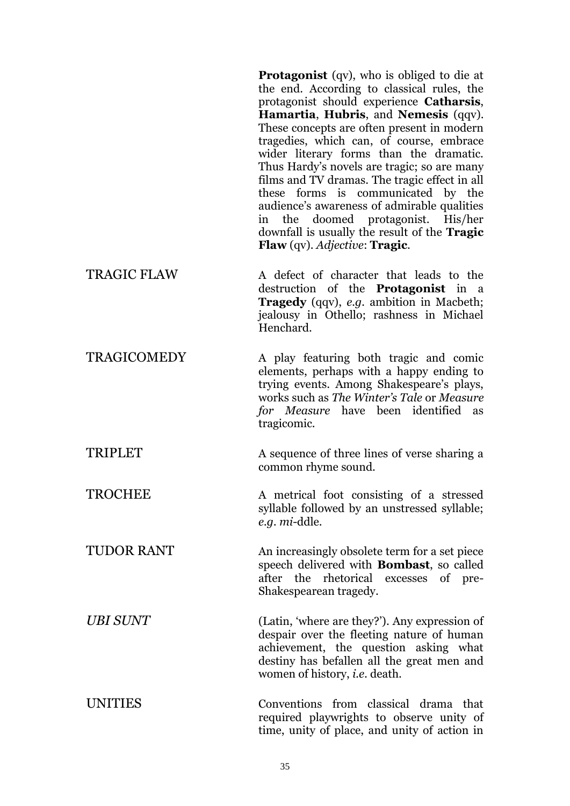**Protagonist** (qv), who is obliged to die at the end. According to classical rules, the protagonist should experience **Catharsis**, **Hamartia**, **Hubris**, and **Nemesis** (qqv). These concepts are often present in modern tragedies, which can, of course, embrace wider literary forms than the dramatic. Thus Hardy's novels are tragic; so are many films and TV dramas. The tragic effect in all these forms is communicated by the audience's awareness of admirable qualities in the doomed protagonist. His/her downfall is usually the result of the **Tragic Flaw** (qv). *Adjective*: **Tragic**. TRAGIC FLAW A defect of character that leads to the destruction of the **Protagonist** in a **Tragedy** (qqv), *e.g.* ambition in Macbeth; jealousy in Othello; rashness in Michael Henchard. TRAGICOMEDY A play featuring both tragic and comic elements, perhaps with a happy ending to trying events. Among Shakespeare's plays, works such as *The Winter's Tale* or *Measure for Measure* have been identified as tragicomic. TRIPLET A sequence of three lines of verse sharing a common rhyme sound. TROCHEE A metrical foot consisting of a stressed syllable followed by an unstressed syllable; *e.g. mi*-ddle. TUDOR RANT An increasingly obsolete term for a set piece speech delivered with **Bombast**, so called after the rhetorical excesses of pre-

*UBI SUNT* (Latin, 'where are they?'). Any expression of despair over the fleeting nature of human achievement, the question asking what destiny has befallen all the great men and women of history, *i.e.* death.

Shakespearean tragedy.

UNITIES Conventions from classical drama that required playwrights to observe unity of time, unity of place, and unity of action in